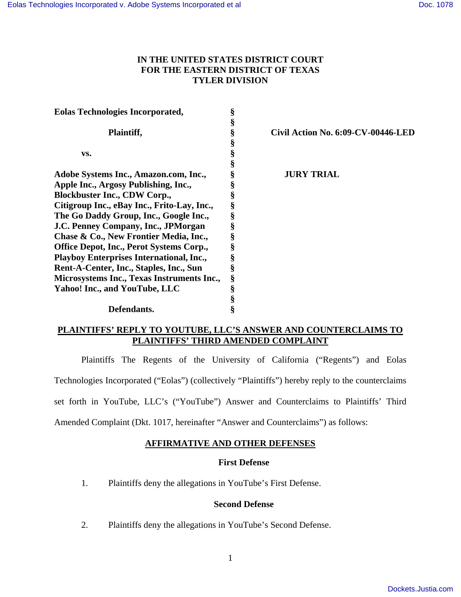## **IN THE UNITED STATES DISTRICT COURT FOR THE EASTERN DISTRICT OF TEXAS TYLER DIVISION**

| <b>Eolas Technologies Incorporated,</b>         | §  |                                    |
|-------------------------------------------------|----|------------------------------------|
|                                                 | \$ |                                    |
| Plaintiff,                                      | §  | Civil Action No. 6:09-CV-00446-LED |
|                                                 | §  |                                    |
| VS.                                             | §  |                                    |
|                                                 | §  |                                    |
| Adobe Systems Inc., Amazon.com, Inc.,           | §  | <b>JURY TRIAL</b>                  |
| Apple Inc., Argosy Publishing, Inc.,            | §  |                                    |
| <b>Blockbuster Inc., CDW Corp.,</b>             | §  |                                    |
| Citigroup Inc., eBay Inc., Frito-Lay, Inc.,     | §  |                                    |
| The Go Daddy Group, Inc., Google Inc.,          | §  |                                    |
| J.C. Penney Company, Inc., JPMorgan             | §  |                                    |
| Chase & Co., New Frontier Media, Inc.,          | §  |                                    |
| Office Depot, Inc., Perot Systems Corp.,        | §  |                                    |
| <b>Playboy Enterprises International, Inc.,</b> | §  |                                    |
| Rent-A-Center, Inc., Staples, Inc., Sun         | §  |                                    |
| Microsystems Inc., Texas Instruments Inc.,      | §  |                                    |
| Yahoo! Inc., and YouTube, LLC                   | §  |                                    |
|                                                 | §  |                                    |
| Defendants.                                     | §  |                                    |

## **PLAINTIFFS' REPLY TO YOUTUBE, LLC'S ANSWER AND COUNTERCLAIMS TO PLAINTIFFS' THIRD AMENDED COMPLAINT**

Plaintiffs The Regents of the University of California ("Regents") and Eolas Technologies Incorporated ("Eolas") (collectively "Plaintiffs") hereby reply to the counterclaims set forth in YouTube, LLC's ("YouTube") Answer and Counterclaims to Plaintiffs' Third Amended Complaint (Dkt. 1017, hereinafter "Answer and Counterclaims") as follows:

# **AFFIRMATIVE AND OTHER DEFENSES**

## **First Defense**

1. Plaintiffs deny the allegations in YouTube's First Defense.

## **Second Defense**

2. Plaintiffs deny the allegations in YouTube's Second Defense.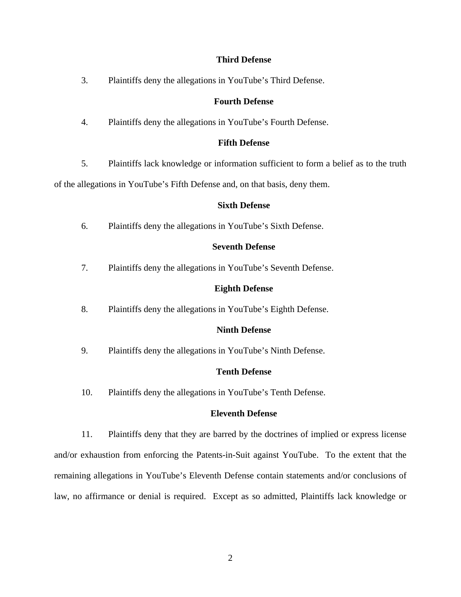## **Third Defense**

3. Plaintiffs deny the allegations in YouTube's Third Defense.

## **Fourth Defense**

4. Plaintiffs deny the allegations in YouTube's Fourth Defense.

## **Fifth Defense**

5. Plaintiffs lack knowledge or information sufficient to form a belief as to the truth

of the allegations in YouTube's Fifth Defense and, on that basis, deny them.

#### **Sixth Defense**

6. Plaintiffs deny the allegations in YouTube's Sixth Defense.

### **Seventh Defense**

7. Plaintiffs deny the allegations in YouTube's Seventh Defense.

### **Eighth Defense**

8. Plaintiffs deny the allegations in YouTube's Eighth Defense.

#### **Ninth Defense**

9. Plaintiffs deny the allegations in YouTube's Ninth Defense.

#### **Tenth Defense**

10. Plaintiffs deny the allegations in YouTube's Tenth Defense.

### **Eleventh Defense**

11. Plaintiffs deny that they are barred by the doctrines of implied or express license and/or exhaustion from enforcing the Patents-in-Suit against YouTube. To the extent that the remaining allegations in YouTube's Eleventh Defense contain statements and/or conclusions of law, no affirmance or denial is required. Except as so admitted, Plaintiffs lack knowledge or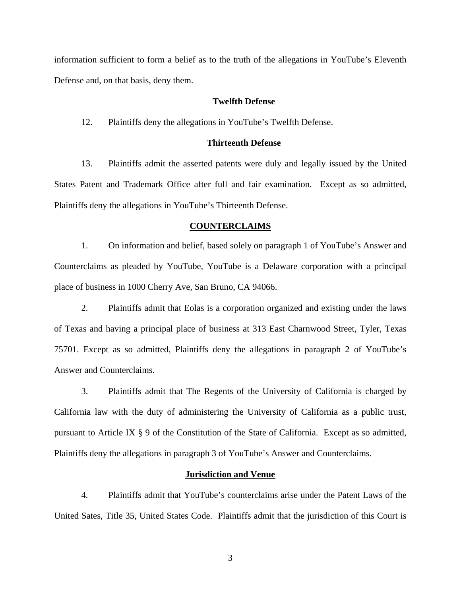information sufficient to form a belief as to the truth of the allegations in YouTube's Eleventh Defense and, on that basis, deny them.

### **Twelfth Defense**

12. Plaintiffs deny the allegations in YouTube's Twelfth Defense.

#### **Thirteenth Defense**

13. Plaintiffs admit the asserted patents were duly and legally issued by the United States Patent and Trademark Office after full and fair examination. Except as so admitted, Plaintiffs deny the allegations in YouTube's Thirteenth Defense.

#### **COUNTERCLAIMS**

1. On information and belief, based solely on paragraph 1 of YouTube's Answer and Counterclaims as pleaded by YouTube, YouTube is a Delaware corporation with a principal place of business in 1000 Cherry Ave, San Bruno, CA 94066.

2. Plaintiffs admit that Eolas is a corporation organized and existing under the laws of Texas and having a principal place of business at 313 East Charnwood Street, Tyler, Texas 75701. Except as so admitted, Plaintiffs deny the allegations in paragraph 2 of YouTube's Answer and Counterclaims.

3. Plaintiffs admit that The Regents of the University of California is charged by California law with the duty of administering the University of California as a public trust, pursuant to Article IX § 9 of the Constitution of the State of California. Except as so admitted, Plaintiffs deny the allegations in paragraph 3 of YouTube's Answer and Counterclaims.

#### **Jurisdiction and Venue**

4. Plaintiffs admit that YouTube's counterclaims arise under the Patent Laws of the United Sates, Title 35, United States Code. Plaintiffs admit that the jurisdiction of this Court is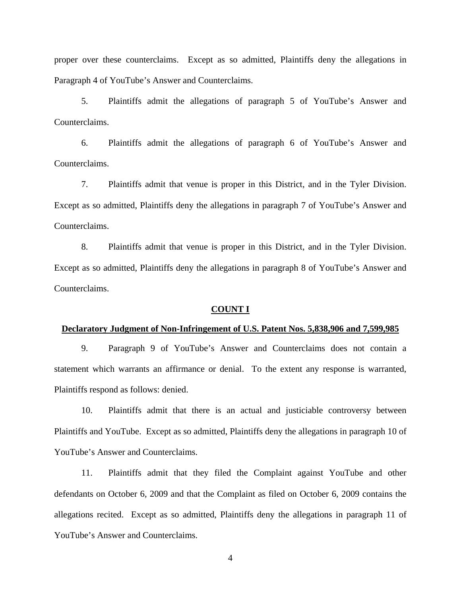proper over these counterclaims. Except as so admitted, Plaintiffs deny the allegations in Paragraph 4 of YouTube's Answer and Counterclaims.

5. Plaintiffs admit the allegations of paragraph 5 of YouTube's Answer and Counterclaims.

6. Plaintiffs admit the allegations of paragraph 6 of YouTube's Answer and Counterclaims.

7. Plaintiffs admit that venue is proper in this District, and in the Tyler Division. Except as so admitted, Plaintiffs deny the allegations in paragraph 7 of YouTube's Answer and Counterclaims.

8. Plaintiffs admit that venue is proper in this District, and in the Tyler Division. Except as so admitted, Plaintiffs deny the allegations in paragraph 8 of YouTube's Answer and Counterclaims.

#### **COUNT I**

#### **Declaratory Judgment of Non-Infringement of U.S. Patent Nos. 5,838,906 and 7,599,985**

9. Paragraph 9 of YouTube's Answer and Counterclaims does not contain a statement which warrants an affirmance or denial. To the extent any response is warranted, Plaintiffs respond as follows: denied.

10. Plaintiffs admit that there is an actual and justiciable controversy between Plaintiffs and YouTube. Except as so admitted, Plaintiffs deny the allegations in paragraph 10 of YouTube's Answer and Counterclaims.

11. Plaintiffs admit that they filed the Complaint against YouTube and other defendants on October 6, 2009 and that the Complaint as filed on October 6, 2009 contains the allegations recited. Except as so admitted, Plaintiffs deny the allegations in paragraph 11 of YouTube's Answer and Counterclaims.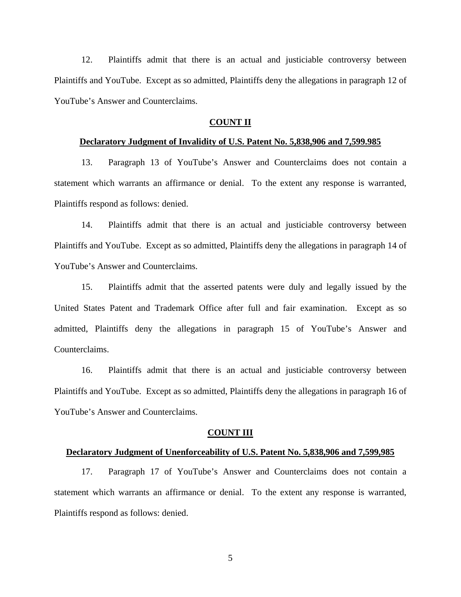12. Plaintiffs admit that there is an actual and justiciable controversy between Plaintiffs and YouTube. Except as so admitted, Plaintiffs deny the allegations in paragraph 12 of YouTube's Answer and Counterclaims.

### **COUNT II**

### **Declaratory Judgment of Invalidity of U.S. Patent No. 5,838,906 and 7,599.985**

13. Paragraph 13 of YouTube's Answer and Counterclaims does not contain a statement which warrants an affirmance or denial. To the extent any response is warranted, Plaintiffs respond as follows: denied.

14. Plaintiffs admit that there is an actual and justiciable controversy between Plaintiffs and YouTube. Except as so admitted, Plaintiffs deny the allegations in paragraph 14 of YouTube's Answer and Counterclaims.

15. Plaintiffs admit that the asserted patents were duly and legally issued by the United States Patent and Trademark Office after full and fair examination. Except as so admitted, Plaintiffs deny the allegations in paragraph 15 of YouTube's Answer and Counterclaims.

16. Plaintiffs admit that there is an actual and justiciable controversy between Plaintiffs and YouTube. Except as so admitted, Plaintiffs deny the allegations in paragraph 16 of YouTube's Answer and Counterclaims.

#### **COUNT III**

### **Declaratory Judgment of Unenforceability of U.S. Patent No. 5,838,906 and 7,599,985**

17. Paragraph 17 of YouTube's Answer and Counterclaims does not contain a statement which warrants an affirmance or denial. To the extent any response is warranted, Plaintiffs respond as follows: denied.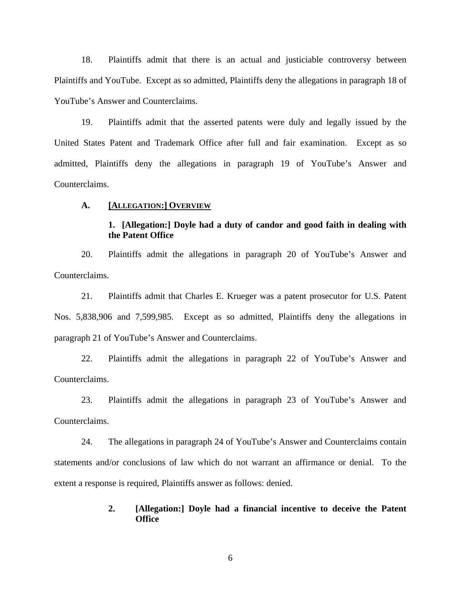18. Plaintiffs admit that there is an actual and justiciable controversy between Plaintiffs and YouTube. Except as so admitted, Plaintiffs deny the allegations in paragraph 18 of YouTube's Answer and Counterclaims.

19. Plaintiffs admit that the asserted patents were duly and legally issued by the United States Patent and Trademark Office after full and fair examination. Except as so admitted, Plaintiffs deny the allegations in paragraph 19 of YouTube's Answer and Counterclaims.

#### **A. [ALLEGATION:] OVERVIEW**

## **1. [Allegation:] Doyle had a duty of candor and good faith in dealing with the Patent Office**

20. Plaintiffs admit the allegations in paragraph 20 of YouTube's Answer and Counterclaims.

21. Plaintiffs admit that Charles E. Krueger was a patent prosecutor for U.S. Patent Nos. 5,838,906 and 7,599,985. Except as so admitted, Plaintiffs deny the allegations in paragraph 21 of YouTube's Answer and Counterclaims.

22. Plaintiffs admit the allegations in paragraph 22 of YouTube's Answer and Counterclaims.

23. Plaintiffs admit the allegations in paragraph 23 of YouTube's Answer and Counterclaims.

24. The allegations in paragraph 24 of YouTube's Answer and Counterclaims contain statements and/or conclusions of law which do not warrant an affirmance or denial. To the extent a response is required, Plaintiffs answer as follows: denied.

### **2. [Allegation:] Doyle had a financial incentive to deceive the Patent Office**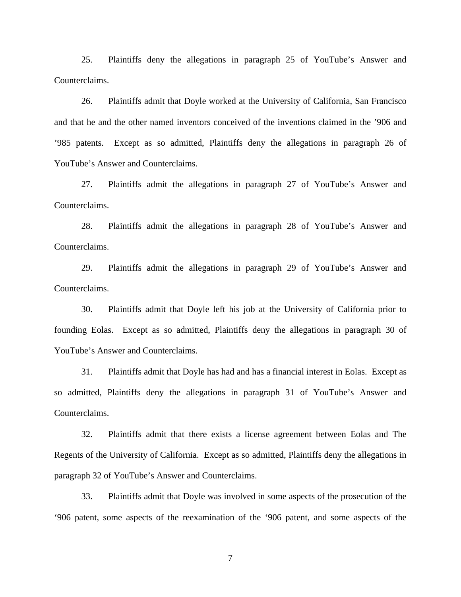25. Plaintiffs deny the allegations in paragraph 25 of YouTube's Answer and Counterclaims.

26. Plaintiffs admit that Doyle worked at the University of California, San Francisco and that he and the other named inventors conceived of the inventions claimed in the '906 and '985 patents. Except as so admitted, Plaintiffs deny the allegations in paragraph 26 of YouTube's Answer and Counterclaims.

27. Plaintiffs admit the allegations in paragraph 27 of YouTube's Answer and Counterclaims.

28. Plaintiffs admit the allegations in paragraph 28 of YouTube's Answer and Counterclaims.

29. Plaintiffs admit the allegations in paragraph 29 of YouTube's Answer and Counterclaims.

30. Plaintiffs admit that Doyle left his job at the University of California prior to founding Eolas. Except as so admitted, Plaintiffs deny the allegations in paragraph 30 of YouTube's Answer and Counterclaims.

31. Plaintiffs admit that Doyle has had and has a financial interest in Eolas. Except as so admitted, Plaintiffs deny the allegations in paragraph 31 of YouTube's Answer and Counterclaims.

32. Plaintiffs admit that there exists a license agreement between Eolas and The Regents of the University of California. Except as so admitted, Plaintiffs deny the allegations in paragraph 32 of YouTube's Answer and Counterclaims.

33. Plaintiffs admit that Doyle was involved in some aspects of the prosecution of the '906 patent, some aspects of the reexamination of the '906 patent, and some aspects of the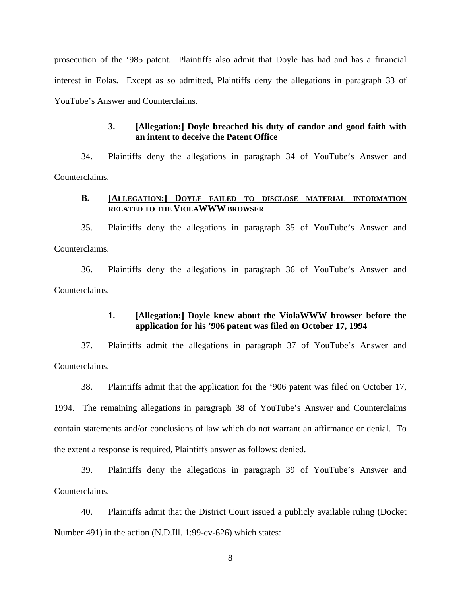prosecution of the '985 patent. Plaintiffs also admit that Doyle has had and has a financial interest in Eolas. Except as so admitted, Plaintiffs deny the allegations in paragraph 33 of YouTube's Answer and Counterclaims.

## **3. [Allegation:] Doyle breached his duty of candor and good faith with an intent to deceive the Patent Office**

34. Plaintiffs deny the allegations in paragraph 34 of YouTube's Answer and Counterclaims.

### **B. [ALLEGATION:] DOYLE FAILED TO DISCLOSE MATERIAL INFORMATION RELATED TO THE VIOLAWWW BROWSER**

35. Plaintiffs deny the allegations in paragraph 35 of YouTube's Answer and Counterclaims.

36. Plaintiffs deny the allegations in paragraph 36 of YouTube's Answer and Counterclaims.

## **1. [Allegation:] Doyle knew about the ViolaWWW browser before the application for his '906 patent was filed on October 17, 1994**

37. Plaintiffs admit the allegations in paragraph 37 of YouTube's Answer and Counterclaims.

38. Plaintiffs admit that the application for the '906 patent was filed on October 17, 1994. The remaining allegations in paragraph 38 of YouTube's Answer and Counterclaims contain statements and/or conclusions of law which do not warrant an affirmance or denial. To the extent a response is required, Plaintiffs answer as follows: denied.

39. Plaintiffs deny the allegations in paragraph 39 of YouTube's Answer and Counterclaims.

40. Plaintiffs admit that the District Court issued a publicly available ruling (Docket Number 491) in the action (N.D.Ill. 1:99-cv-626) which states: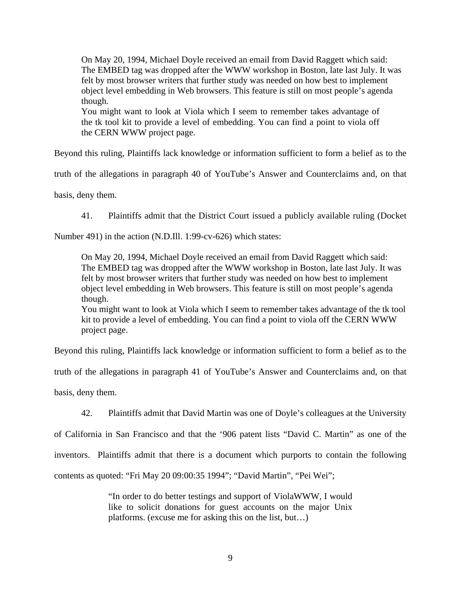On May 20, 1994, Michael Doyle received an email from David Raggett which said: The EMBED tag was dropped after the WWW workshop in Boston, late last July. It was felt by most browser writers that further study was needed on how best to implement object level embedding in Web browsers. This feature is still on most people's agenda though.

You might want to look at Viola which I seem to remember takes advantage of the tk tool kit to provide a level of embedding. You can find a point to viola off the CERN WWW project page.

Beyond this ruling, Plaintiffs lack knowledge or information sufficient to form a belief as to the

truth of the allegations in paragraph 40 of YouTube's Answer and Counterclaims and, on that

basis, deny them.

41. Plaintiffs admit that the District Court issued a publicly available ruling (Docket

Number 491) in the action (N.D.Ill. 1:99-cv-626) which states:

On May 20, 1994, Michael Doyle received an email from David Raggett which said: The EMBED tag was dropped after the WWW workshop in Boston, late last July. It was felt by most browser writers that further study was needed on how best to implement object level embedding in Web browsers. This feature is still on most people's agenda though.

You might want to look at Viola which I seem to remember takes advantage of the tk tool kit to provide a level of embedding. You can find a point to viola off the CERN WWW project page.

Beyond this ruling, Plaintiffs lack knowledge or information sufficient to form a belief as to the truth of the allegations in paragraph 41 of YouTube's Answer and Counterclaims and, on that basis, deny them.

42. Plaintiffs admit that David Martin was one of Doyle's colleagues at the University

of California in San Francisco and that the '906 patent lists "David C. Martin" as one of the inventors. Plaintiffs admit that there is a document which purports to contain the following contents as quoted: "Fri May 20 09:00:35 1994"; "David Martin", "Pei Wei";

> "In order to do better testings and support of ViolaWWW, I would like to solicit donations for guest accounts on the major Unix platforms. (excuse me for asking this on the list, but…)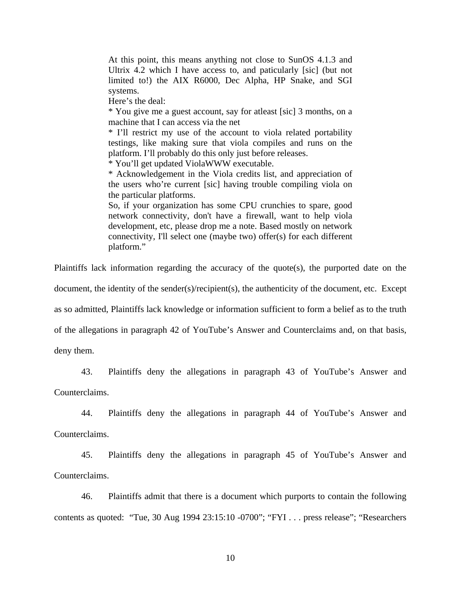At this point, this means anything not close to SunOS 4.1.3 and Ultrix 4.2 which I have access to, and paticularly [sic] (but not limited to!) the AIX R6000, Dec Alpha, HP Snake, and SGI systems.

Here's the deal:

\* You give me a guest account, say for atleast [sic] 3 months, on a machine that I can access via the net

\* I'll restrict my use of the account to viola related portability testings, like making sure that viola compiles and runs on the platform. I'll probably do this only just before releases.

\* You'll get updated ViolaWWW executable.

\* Acknowledgement in the Viola credits list, and appreciation of the users who're current [sic] having trouble compiling viola on the particular platforms.

So, if your organization has some CPU crunchies to spare, good network connectivity, don't have a firewall, want to help viola development, etc, please drop me a note. Based mostly on network connectivity, I'll select one (maybe two) offer(s) for each different platform."

Plaintiffs lack information regarding the accuracy of the quote(s), the purported date on the

document, the identity of the sender(s)/recipient(s), the authenticity of the document, etc. Except

as so admitted, Plaintiffs lack knowledge or information sufficient to form a belief as to the truth

of the allegations in paragraph 42 of YouTube's Answer and Counterclaims and, on that basis,

deny them.

43. Plaintiffs deny the allegations in paragraph 43 of YouTube's Answer and

Counterclaims.

44. Plaintiffs deny the allegations in paragraph 44 of YouTube's Answer and Counterclaims.

45. Plaintiffs deny the allegations in paragraph 45 of YouTube's Answer and Counterclaims.

46. Plaintiffs admit that there is a document which purports to contain the following contents as quoted: "Tue, 30 Aug 1994 23:15:10 -0700"; "FYI . . . press release"; "Researchers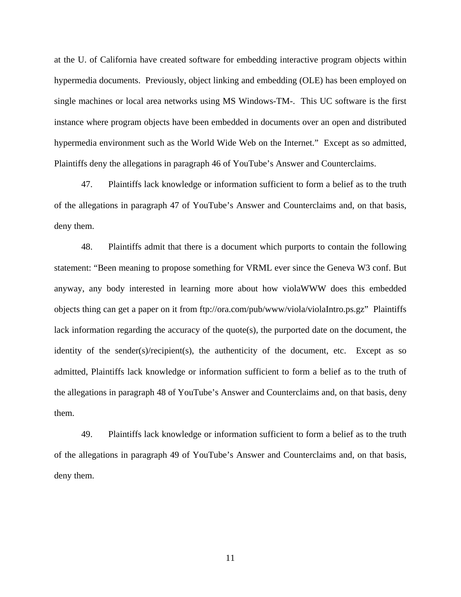at the U. of California have created software for embedding interactive program objects within hypermedia documents. Previously, object linking and embedding (OLE) has been employed on single machines or local area networks using MS Windows-TM-. This UC software is the first instance where program objects have been embedded in documents over an open and distributed hypermedia environment such as the World Wide Web on the Internet." Except as so admitted, Plaintiffs deny the allegations in paragraph 46 of YouTube's Answer and Counterclaims.

47. Plaintiffs lack knowledge or information sufficient to form a belief as to the truth of the allegations in paragraph 47 of YouTube's Answer and Counterclaims and, on that basis, deny them.

48. Plaintiffs admit that there is a document which purports to contain the following statement: "Been meaning to propose something for VRML ever since the Geneva W3 conf. But anyway, any body interested in learning more about how violaWWW does this embedded objects thing can get a paper on it from ftp://ora.com/pub/www/viola/violaIntro.ps.gz" Plaintiffs lack information regarding the accuracy of the quote(s), the purported date on the document, the identity of the sender(s)/recipient(s), the authenticity of the document, etc. Except as so admitted, Plaintiffs lack knowledge or information sufficient to form a belief as to the truth of the allegations in paragraph 48 of YouTube's Answer and Counterclaims and, on that basis, deny them.

49. Plaintiffs lack knowledge or information sufficient to form a belief as to the truth of the allegations in paragraph 49 of YouTube's Answer and Counterclaims and, on that basis, deny them.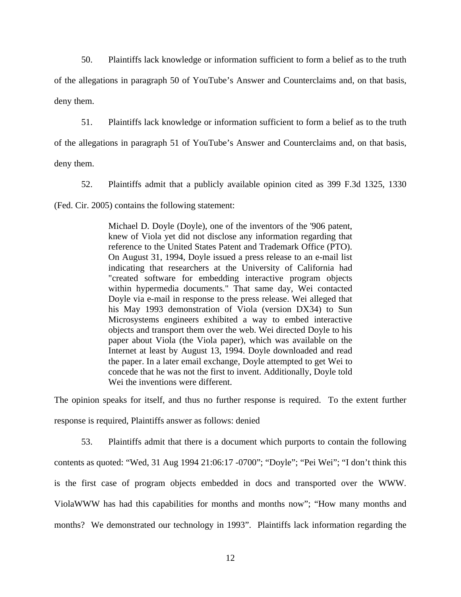50. Plaintiffs lack knowledge or information sufficient to form a belief as to the truth of the allegations in paragraph 50 of YouTube's Answer and Counterclaims and, on that basis, deny them.

51. Plaintiffs lack knowledge or information sufficient to form a belief as to the truth

of the allegations in paragraph 51 of YouTube's Answer and Counterclaims and, on that basis,

deny them.

52. Plaintiffs admit that a publicly available opinion cited as 399 F.3d 1325, 1330

(Fed. Cir. 2005) contains the following statement:

Michael D. Doyle (Doyle), one of the inventors of the '906 patent, knew of Viola yet did not disclose any information regarding that reference to the United States Patent and Trademark Office (PTO). On August 31, 1994, Doyle issued a press release to an e-mail list indicating that researchers at the University of California had "created software for embedding interactive program objects within hypermedia documents." That same day, Wei contacted Doyle via e-mail in response to the press release. Wei alleged that his May 1993 demonstration of Viola (version DX34) to Sun Microsystems engineers exhibited a way to embed interactive objects and transport them over the web. Wei directed Doyle to his paper about Viola (the Viola paper), which was available on the Internet at least by August 13, 1994. Doyle downloaded and read the paper. In a later email exchange, Doyle attempted to get Wei to concede that he was not the first to invent. Additionally, Doyle told Wei the inventions were different.

The opinion speaks for itself, and thus no further response is required. To the extent further response is required, Plaintiffs answer as follows: denied

53. Plaintiffs admit that there is a document which purports to contain the following contents as quoted: "Wed, 31 Aug 1994 21:06:17 -0700"; "Doyle"; "Pei Wei"; "I don't think this is the first case of program objects embedded in docs and transported over the WWW. ViolaWWW has had this capabilities for months and months now"; "How many months and months? We demonstrated our technology in 1993". Plaintiffs lack information regarding the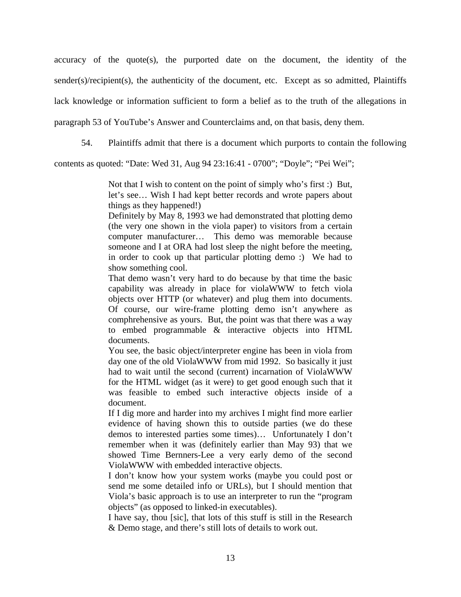accuracy of the quote(s), the purported date on the document, the identity of the  $sender(s)/recipient(s)$ , the authenticity of the document, etc. Except as so admitted, Plaintiffs lack knowledge or information sufficient to form a belief as to the truth of the allegations in paragraph 53 of YouTube's Answer and Counterclaims and, on that basis, deny them.

54. Plaintiffs admit that there is a document which purports to contain the following

contents as quoted: "Date: Wed 31, Aug 94 23:16:41 - 0700"; "Doyle"; "Pei Wei";

Not that I wish to content on the point of simply who's first :) But, let's see… Wish I had kept better records and wrote papers about things as they happened!)

Definitely by May 8, 1993 we had demonstrated that plotting demo (the very one shown in the viola paper) to visitors from a certain computer manufacturer… This demo was memorable because someone and I at ORA had lost sleep the night before the meeting, in order to cook up that particular plotting demo :) We had to show something cool.

That demo wasn't very hard to do because by that time the basic capability was already in place for violaWWW to fetch viola objects over HTTP (or whatever) and plug them into documents. Of course, our wire-frame plotting demo isn't anywhere as comphrehensive as yours. But, the point was that there was a way to embed programmable & interactive objects into HTML documents.

You see, the basic object/interpreter engine has been in viola from day one of the old ViolaWWW from mid 1992. So basically it just had to wait until the second (current) incarnation of ViolaWWW for the HTML widget (as it were) to get good enough such that it was feasible to embed such interactive objects inside of a document.

If I dig more and harder into my archives I might find more earlier evidence of having shown this to outside parties (we do these demos to interested parties some times)… Unfortunately I don't remember when it was (definitely earlier than May 93) that we showed Time Bernners-Lee a very early demo of the second ViolaWWW with embedded interactive objects.

I don't know how your system works (maybe you could post or send me some detailed info or URLs), but I should mention that Viola's basic approach is to use an interpreter to run the "program objects" (as opposed to linked-in executables).

I have say, thou [sic], that lots of this stuff is still in the Research & Demo stage, and there's still lots of details to work out.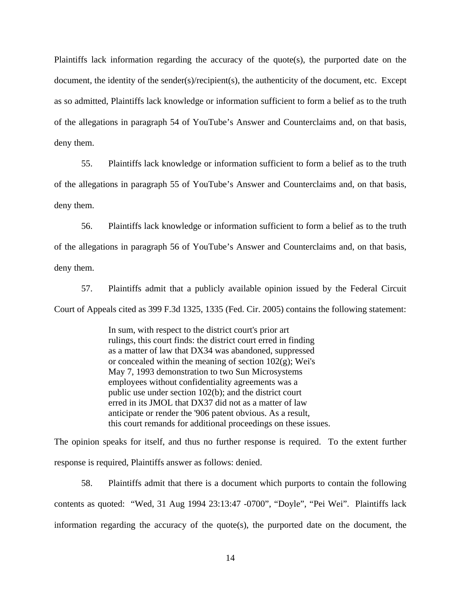Plaintiffs lack information regarding the accuracy of the quote(s), the purported date on the document, the identity of the sender(s)/recipient(s), the authenticity of the document, etc. Except as so admitted, Plaintiffs lack knowledge or information sufficient to form a belief as to the truth of the allegations in paragraph 54 of YouTube's Answer and Counterclaims and, on that basis, deny them.

55. Plaintiffs lack knowledge or information sufficient to form a belief as to the truth of the allegations in paragraph 55 of YouTube's Answer and Counterclaims and, on that basis, deny them.

56. Plaintiffs lack knowledge or information sufficient to form a belief as to the truth of the allegations in paragraph 56 of YouTube's Answer and Counterclaims and, on that basis, deny them.

57. Plaintiffs admit that a publicly available opinion issued by the Federal Circuit Court of Appeals cited as 399 F.3d 1325, 1335 (Fed. Cir. 2005) contains the following statement:

> In sum, with respect to the district court's prior art rulings, this court finds: the district court erred in finding as a matter of law that DX34 was abandoned, suppressed or concealed within the meaning of section  $102(g)$ ; Wei's May 7, 1993 demonstration to two Sun Microsystems employees without confidentiality agreements was a public use under section 102(b); and the district court erred in its JMOL that DX37 did not as a matter of law anticipate or render the '906 patent obvious. As a result, this court remands for additional proceedings on these issues.

The opinion speaks for itself, and thus no further response is required. To the extent further response is required, Plaintiffs answer as follows: denied.

58. Plaintiffs admit that there is a document which purports to contain the following contents as quoted: "Wed, 31 Aug 1994 23:13:47 -0700", "Doyle", "Pei Wei". Plaintiffs lack information regarding the accuracy of the quote(s), the purported date on the document, the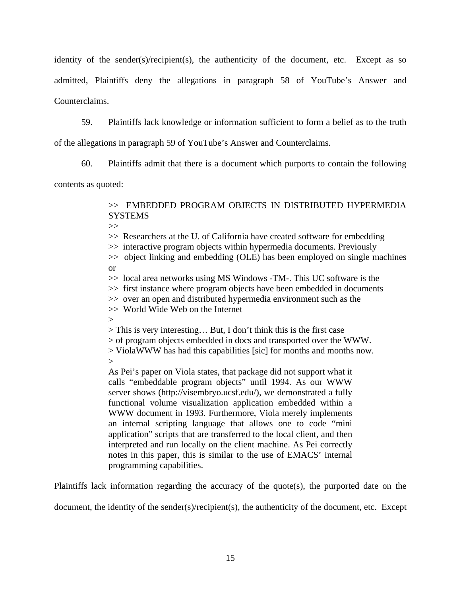identity of the sender(s)/recipient(s), the authenticity of the document, etc. Except as so admitted, Plaintiffs deny the allegations in paragraph 58 of YouTube's Answer and Counterclaims.

59. Plaintiffs lack knowledge or information sufficient to form a belief as to the truth

of the allegations in paragraph 59 of YouTube's Answer and Counterclaims.

60. Plaintiffs admit that there is a document which purports to contain the following

contents as quoted:

>> EMBEDDED PROGRAM OBJECTS IN DISTRIBUTED HYPERMEDIA **SYSTEMS** 

 $\gg$ 

>> Researchers at the U. of California have created software for embedding

>> interactive program objects within hypermedia documents. Previously

>> object linking and embedding (OLE) has been employed on single machines or

>> local area networks using MS Windows -TM-. This UC software is the

>> first instance where program objects have been embedded in documents

>> over an open and distributed hypermedia environment such as the

>> World Wide Web on the Internet

 $>$ 

> This is very interesting… But, I don't think this is the first case

> of program objects embedded in docs and transported over the WWW.

> ViolaWWW has had this capabilities [sic] for months and months now.

 $\geq$ 

As Pei's paper on Viola states, that package did not support what it calls "embeddable program objects" until 1994. As our WWW server shows (http://visembryo.ucsf.edu/), we demonstrated a fully functional volume visualization application embedded within a WWW document in 1993. Furthermore, Viola merely implements an internal scripting language that allows one to code "mini application" scripts that are transferred to the local client, and then interpreted and run locally on the client machine. As Pei correctly notes in this paper, this is similar to the use of EMACS' internal programming capabilities.

Plaintiffs lack information regarding the accuracy of the quote(s), the purported date on the

document, the identity of the sender(s)/recipient(s), the authenticity of the document, etc. Except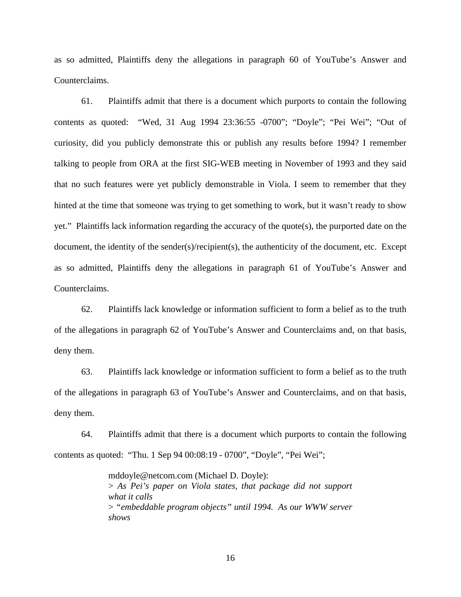as so admitted, Plaintiffs deny the allegations in paragraph 60 of YouTube's Answer and Counterclaims.

61. Plaintiffs admit that there is a document which purports to contain the following contents as quoted: "Wed, 31 Aug 1994 23:36:55 -0700"; "Doyle"; "Pei Wei"; "Out of curiosity, did you publicly demonstrate this or publish any results before 1994? I remember talking to people from ORA at the first SIG-WEB meeting in November of 1993 and they said that no such features were yet publicly demonstrable in Viola. I seem to remember that they hinted at the time that someone was trying to get something to work, but it wasn't ready to show yet." Plaintiffs lack information regarding the accuracy of the quote(s), the purported date on the document, the identity of the sender(s)/recipient(s), the authenticity of the document, etc. Except as so admitted, Plaintiffs deny the allegations in paragraph 61 of YouTube's Answer and Counterclaims.

62. Plaintiffs lack knowledge or information sufficient to form a belief as to the truth of the allegations in paragraph 62 of YouTube's Answer and Counterclaims and, on that basis, deny them.

63. Plaintiffs lack knowledge or information sufficient to form a belief as to the truth of the allegations in paragraph 63 of YouTube's Answer and Counterclaims, and on that basis, deny them.

64. Plaintiffs admit that there is a document which purports to contain the following contents as quoted: "Thu. 1 Sep 94 00:08:19 - 0700", "Doyle", "Pei Wei";

> mddoyle@netcom.com (Michael D. Doyle): > *As Pei's paper on Viola states, that package did not support what it calls* > *"embeddable program objects" until 1994. As our WWW server shows*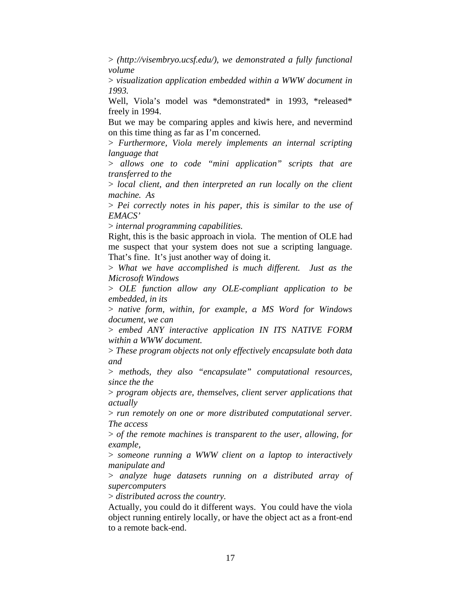> *(http://visembryo.ucsf.edu/), we demonstrated a fully functional volume*

> *visualization application embedded within a WWW document in 1993.*

Well, Viola's model was \*demonstrated\* in 1993. \*released\* freely in 1994.

But we may be comparing apples and kiwis here, and nevermind on this time thing as far as I'm concerned.

> *Furthermore, Viola merely implements an internal scripting language that*

> *allows one to code "mini application" scripts that are transferred to the* 

> *local client, and then interpreted an run locally on the client machine. As*

> *Pei correctly notes in his paper, this is similar to the use of EMACS'*

> *internal programming capabilities.*

Right, this is the basic approach in viola. The mention of OLE had me suspect that your system does not sue a scripting language. That's fine. It's just another way of doing it.

> *What we have accomplished is much different. Just as the Microsoft Windows*

> *OLE function allow any OLE-compliant application to be embedded, in its*

> *native form, within, for example, a MS Word for Windows document, we can*

> *embed ANY interactive application IN ITS NATIVE FORM within a WWW document.*

> *These program objects not only effectively encapsulate both data and* 

> *methods, they also "encapsulate" computational resources, since the the*

> *program objects are, themselves, client server applications that actually* 

> *run remotely on one or more distributed computational server. The access*

> *of the remote machines is transparent to the user, allowing, for example,* 

> *someone running a WWW client on a laptop to interactively manipulate and* 

> *analyze huge datasets running on a distributed array of supercomputers*

> *distributed across the country.*

Actually, you could do it different ways. You could have the viola object running entirely locally, or have the object act as a front-end to a remote back-end.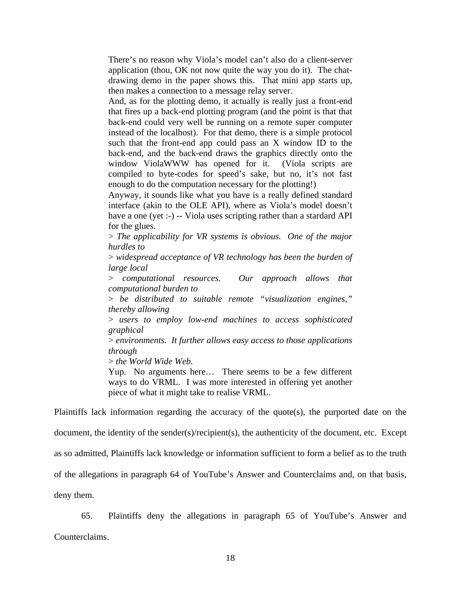There's no reason why Viola's model can't also do a client-server application (thou, OK not now quite the way you do it). The chatdrawing demo in the paper shows this. That mini app starts up, then makes a connection to a message relay server.

And, as for the plotting demo, it actually is really just a front-end that fires up a back-end plotting program (and the point is that that back-end could very well be running on a remote super computer instead of the localhost). For that demo, there is a simple protocol such that the front-end app could pass an X window ID to the back-end, and the back-end draws the graphics directly onto the window ViolaWWW has opened for it. (Viola scripts are compiled to byte-codes for speed's sake, but no, it's not fast enough to do the computation necessary for the plotting!)

Anyway, it sounds like what you have is a really defined standard interface (akin to the OLE API), where as Viola's model doesn't have a one (yet :-) -- Viola uses scripting rather than a stardard API for the glues.

> *The applicability for VR systems is obvious. One of the major hurdles to* 

> *widespread acceptance of VR technology has been the burden of large local*

> *computational resources. Our approach allows that computational burden to* 

> *be distributed to suitable remote "visualization engines," thereby allowing*

> *users to employ low-end machines to access sophisticated graphical* 

> *environments. It further allows easy access to those applications through*

> *the World Wide Web.*

Yup. No arguments here… There seems to be a few different ways to do VRML. I was more interested in offering yet another piece of what it might take to realise VRML.

Plaintiffs lack information regarding the accuracy of the quote(s), the purported date on the document, the identity of the sender(s)/recipient(s), the authenticity of the document, etc. Except as so admitted, Plaintiffs lack knowledge or information sufficient to form a belief as to the truth of the allegations in paragraph 64 of YouTube's Answer and Counterclaims and, on that basis, deny them.

65. Plaintiffs deny the allegations in paragraph 65 of YouTube's Answer and Counterclaims.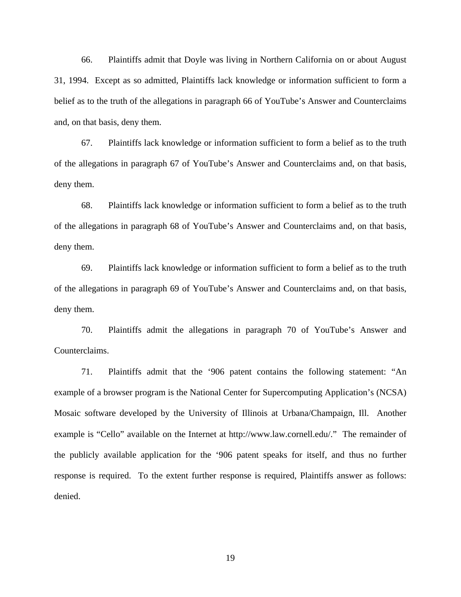66. Plaintiffs admit that Doyle was living in Northern California on or about August 31, 1994. Except as so admitted, Plaintiffs lack knowledge or information sufficient to form a belief as to the truth of the allegations in paragraph 66 of YouTube's Answer and Counterclaims and, on that basis, deny them.

67. Plaintiffs lack knowledge or information sufficient to form a belief as to the truth of the allegations in paragraph 67 of YouTube's Answer and Counterclaims and, on that basis, deny them.

68. Plaintiffs lack knowledge or information sufficient to form a belief as to the truth of the allegations in paragraph 68 of YouTube's Answer and Counterclaims and, on that basis, deny them.

69. Plaintiffs lack knowledge or information sufficient to form a belief as to the truth of the allegations in paragraph 69 of YouTube's Answer and Counterclaims and, on that basis, deny them.

70. Plaintiffs admit the allegations in paragraph 70 of YouTube's Answer and Counterclaims.

71. Plaintiffs admit that the '906 patent contains the following statement: "An example of a browser program is the National Center for Supercomputing Application's (NCSA) Mosaic software developed by the University of Illinois at Urbana/Champaign, Ill. Another example is "Cello" available on the Internet at http://www.law.cornell.edu/." The remainder of the publicly available application for the '906 patent speaks for itself, and thus no further response is required. To the extent further response is required, Plaintiffs answer as follows: denied.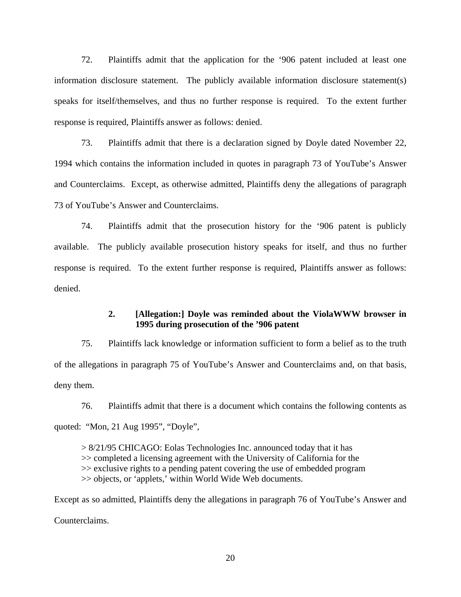72. Plaintiffs admit that the application for the '906 patent included at least one information disclosure statement. The publicly available information disclosure statement(s) speaks for itself/themselves, and thus no further response is required. To the extent further response is required, Plaintiffs answer as follows: denied.

73. Plaintiffs admit that there is a declaration signed by Doyle dated November 22, 1994 which contains the information included in quotes in paragraph 73 of YouTube's Answer and Counterclaims. Except, as otherwise admitted, Plaintiffs deny the allegations of paragraph 73 of YouTube's Answer and Counterclaims.

74. Plaintiffs admit that the prosecution history for the '906 patent is publicly available. The publicly available prosecution history speaks for itself, and thus no further response is required. To the extent further response is required, Plaintiffs answer as follows: denied.

### **2. [Allegation:] Doyle was reminded about the ViolaWWW browser in 1995 during prosecution of the '906 patent**

75. Plaintiffs lack knowledge or information sufficient to form a belief as to the truth of the allegations in paragraph 75 of YouTube's Answer and Counterclaims and, on that basis, deny them.

76. Plaintiffs admit that there is a document which contains the following contents as quoted: "Mon, 21 Aug 1995", "Doyle",

> 8/21/95 CHICAGO: Eolas Technologies Inc. announced today that it has >> completed a licensing agreement with the University of California for the >> exclusive rights to a pending patent covering the use of embedded program >> objects, or 'applets,' within World Wide Web documents.

Except as so admitted, Plaintiffs deny the allegations in paragraph 76 of YouTube's Answer and Counterclaims.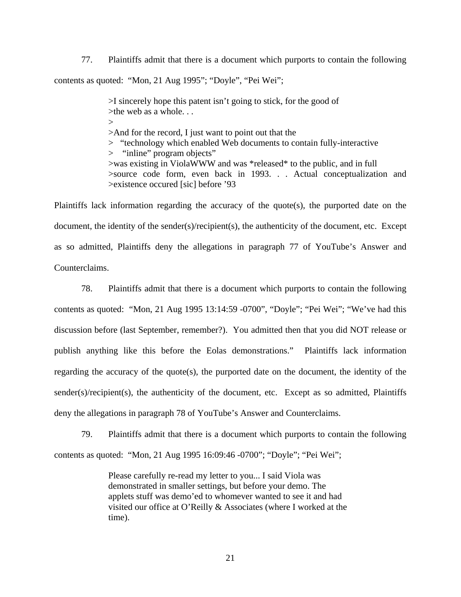77. Plaintiffs admit that there is a document which purports to contain the following contents as quoted: "Mon, 21 Aug 1995"; "Doyle", "Pei Wei";

> >I sincerely hope this patent isn't going to stick, for the good of >the web as a whole. . .  $\rightarrow$ >And for the record, I just want to point out that the > "technology which enabled Web documents to contain fully-interactive > "inline" program objects" >was existing in ViolaWWW and was \*released\* to the public, and in full >source code form, even back in 1993. . . Actual conceptualization and >existence occured [sic] before '93

Plaintiffs lack information regarding the accuracy of the quote(s), the purported date on the document, the identity of the sender(s)/recipient(s), the authenticity of the document, etc. Except as so admitted, Plaintiffs deny the allegations in paragraph 77 of YouTube's Answer and Counterclaims.

78. Plaintiffs admit that there is a document which purports to contain the following contents as quoted: "Mon, 21 Aug 1995 13:14:59 -0700", "Doyle"; "Pei Wei"; "We've had this discussion before (last September, remember?). You admitted then that you did NOT release or publish anything like this before the Eolas demonstrations." Plaintiffs lack information regarding the accuracy of the quote(s), the purported date on the document, the identity of the sender(s)/recipient(s), the authenticity of the document, etc. Except as so admitted, Plaintiffs deny the allegations in paragraph 78 of YouTube's Answer and Counterclaims.

79. Plaintiffs admit that there is a document which purports to contain the following contents as quoted: "Mon, 21 Aug 1995 16:09:46 -0700"; "Doyle"; "Pei Wei";

> Please carefully re-read my letter to you... I said Viola was demonstrated in smaller settings, but before your demo. The applets stuff was demo'ed to whomever wanted to see it and had visited our office at O'Reilly & Associates (where I worked at the time).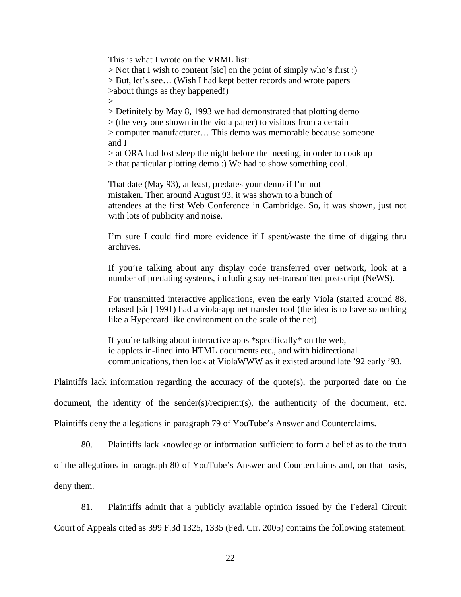This is what I wrote on the VRML list:

> Not that I wish to content [sic] on the point of simply who's first :) > But, let's see… (Wish I had kept better records and wrote papers >about things as they happened!)

 $\geq$ 

> Definitely by May 8, 1993 we had demonstrated that plotting demo

> (the very one shown in the viola paper) to visitors from a certain

> computer manufacturer… This demo was memorable because someone and I

> at ORA had lost sleep the night before the meeting, in order to cook up > that particular plotting demo :) We had to show something cool.

That date (May 93), at least, predates your demo if I'm not mistaken. Then around August 93, it was shown to a bunch of attendees at the first Web Conference in Cambridge. So, it was shown, just not with lots of publicity and noise.

I'm sure I could find more evidence if I spent/waste the time of digging thru archives.

If you're talking about any display code transferred over network, look at a number of predating systems, including say net-transmitted postscript (NeWS).

For transmitted interactive applications, even the early Viola (started around 88, relased [sic] 1991) had a viola-app net transfer tool (the idea is to have something like a Hypercard like environment on the scale of the net).

If you're talking about interactive apps \*specifically\* on the web, ie applets in-lined into HTML documents etc., and with bidirectional communications, then look at ViolaWWW as it existed around late '92 early '93.

Plaintiffs lack information regarding the accuracy of the quote(s), the purported date on the

document, the identity of the sender(s)/recipient(s), the authenticity of the document, etc.

Plaintiffs deny the allegations in paragraph 79 of YouTube's Answer and Counterclaims.

80. Plaintiffs lack knowledge or information sufficient to form a belief as to the truth

of the allegations in paragraph 80 of YouTube's Answer and Counterclaims and, on that basis,

deny them.

81. Plaintiffs admit that a publicly available opinion issued by the Federal Circuit Court of Appeals cited as 399 F.3d 1325, 1335 (Fed. Cir. 2005) contains the following statement: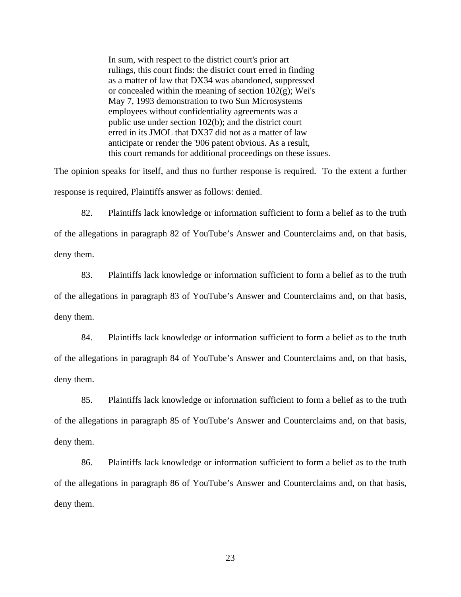In sum, with respect to the district court's prior art rulings, this court finds: the district court erred in finding as a matter of law that DX34 was abandoned, suppressed or concealed within the meaning of section  $102(g)$ ; Wei's May 7, 1993 demonstration to two Sun Microsystems employees without confidentiality agreements was a public use under section 102(b); and the district court erred in its JMOL that DX37 did not as a matter of law anticipate or render the '906 patent obvious. As a result, this court remands for additional proceedings on these issues.

The opinion speaks for itself, and thus no further response is required. To the extent a further response is required, Plaintiffs answer as follows: denied.

82. Plaintiffs lack knowledge or information sufficient to form a belief as to the truth of the allegations in paragraph 82 of YouTube's Answer and Counterclaims and, on that basis, deny them.

83. Plaintiffs lack knowledge or information sufficient to form a belief as to the truth of the allegations in paragraph 83 of YouTube's Answer and Counterclaims and, on that basis, deny them.

84. Plaintiffs lack knowledge or information sufficient to form a belief as to the truth of the allegations in paragraph 84 of YouTube's Answer and Counterclaims and, on that basis, deny them.

85. Plaintiffs lack knowledge or information sufficient to form a belief as to the truth of the allegations in paragraph 85 of YouTube's Answer and Counterclaims and, on that basis, deny them.

86. Plaintiffs lack knowledge or information sufficient to form a belief as to the truth of the allegations in paragraph 86 of YouTube's Answer and Counterclaims and, on that basis, deny them.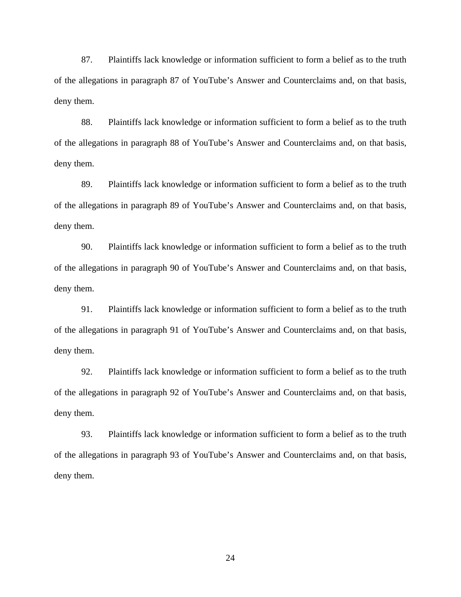87. Plaintiffs lack knowledge or information sufficient to form a belief as to the truth of the allegations in paragraph 87 of YouTube's Answer and Counterclaims and, on that basis, deny them.

88. Plaintiffs lack knowledge or information sufficient to form a belief as to the truth of the allegations in paragraph 88 of YouTube's Answer and Counterclaims and, on that basis, deny them.

89. Plaintiffs lack knowledge or information sufficient to form a belief as to the truth of the allegations in paragraph 89 of YouTube's Answer and Counterclaims and, on that basis, deny them.

90. Plaintiffs lack knowledge or information sufficient to form a belief as to the truth of the allegations in paragraph 90 of YouTube's Answer and Counterclaims and, on that basis, deny them.

91. Plaintiffs lack knowledge or information sufficient to form a belief as to the truth of the allegations in paragraph 91 of YouTube's Answer and Counterclaims and, on that basis, deny them.

92. Plaintiffs lack knowledge or information sufficient to form a belief as to the truth of the allegations in paragraph 92 of YouTube's Answer and Counterclaims and, on that basis, deny them.

93. Plaintiffs lack knowledge or information sufficient to form a belief as to the truth of the allegations in paragraph 93 of YouTube's Answer and Counterclaims and, on that basis, deny them.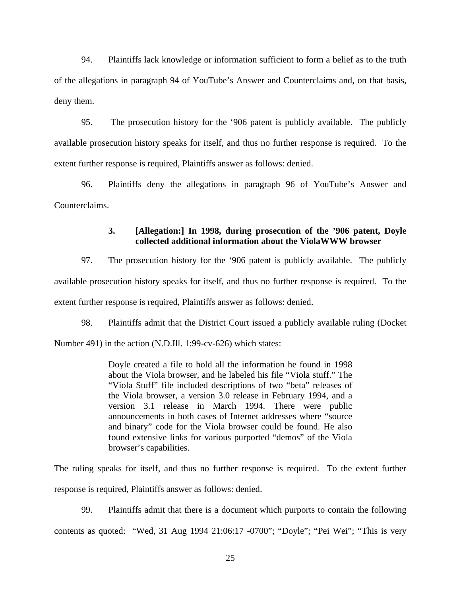94. Plaintiffs lack knowledge or information sufficient to form a belief as to the truth of the allegations in paragraph 94 of YouTube's Answer and Counterclaims and, on that basis, deny them.

95. The prosecution history for the '906 patent is publicly available. The publicly available prosecution history speaks for itself, and thus no further response is required. To the extent further response is required, Plaintiffs answer as follows: denied.

96. Plaintiffs deny the allegations in paragraph 96 of YouTube's Answer and Counterclaims.

## **3. [Allegation:] In 1998, during prosecution of the '906 patent, Doyle collected additional information about the ViolaWWW browser**

97. The prosecution history for the '906 patent is publicly available. The publicly available prosecution history speaks for itself, and thus no further response is required. To the extent further response is required, Plaintiffs answer as follows: denied.

98. Plaintiffs admit that the District Court issued a publicly available ruling (Docket

Number 491) in the action (N.D.Ill. 1:99-cv-626) which states:

Doyle created a file to hold all the information he found in 1998 about the Viola browser, and he labeled his file "Viola stuff." The "Viola Stuff" file included descriptions of two "beta" releases of the Viola browser, a version 3.0 release in February 1994, and a version 3.1 release in March 1994. There were public announcements in both cases of Internet addresses where "source and binary" code for the Viola browser could be found. He also found extensive links for various purported "demos" of the Viola browser's capabilities.

The ruling speaks for itself, and thus no further response is required. To the extent further response is required, Plaintiffs answer as follows: denied.

99. Plaintiffs admit that there is a document which purports to contain the following contents as quoted: "Wed, 31 Aug 1994 21:06:17 -0700"; "Doyle"; "Pei Wei"; "This is very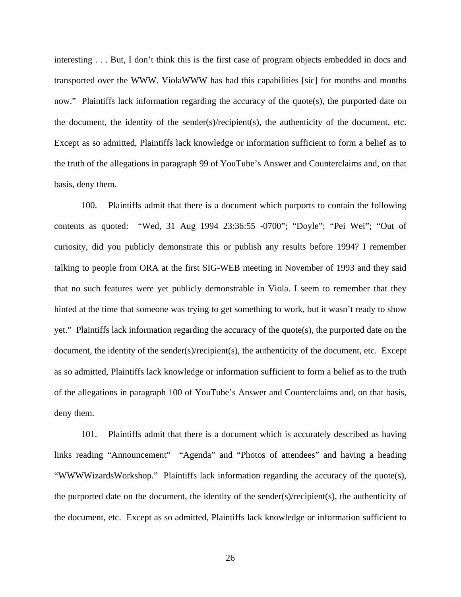interesting . . . But, I don't think this is the first case of program objects embedded in docs and transported over the WWW. ViolaWWW has had this capabilities [sic] for months and months now." Plaintiffs lack information regarding the accuracy of the quote(s), the purported date on the document, the identity of the sender(s)/recipient(s), the authenticity of the document, etc. Except as so admitted, Plaintiffs lack knowledge or information sufficient to form a belief as to the truth of the allegations in paragraph 99 of YouTube's Answer and Counterclaims and, on that basis, deny them.

100. Plaintiffs admit that there is a document which purports to contain the following contents as quoted: "Wed, 31 Aug 1994 23:36:55 -0700"; "Doyle"; "Pei Wei"; "Out of curiosity, did you publicly demonstrate this or publish any results before 1994? I remember talking to people from ORA at the first SIG-WEB meeting in November of 1993 and they said that no such features were yet publicly demonstrable in Viola. I seem to remember that they hinted at the time that someone was trying to get something to work, but it wasn't ready to show yet." Plaintiffs lack information regarding the accuracy of the quote(s), the purported date on the document, the identity of the sender(s)/recipient(s), the authenticity of the document, etc. Except as so admitted, Plaintiffs lack knowledge or information sufficient to form a belief as to the truth of the allegations in paragraph 100 of YouTube's Answer and Counterclaims and, on that basis, deny them.

101. Plaintiffs admit that there is a document which is accurately described as having links reading "Announcement" "Agenda" and "Photos of attendees" and having a heading "WWWWizardsWorkshop." Plaintiffs lack information regarding the accuracy of the quote(s), the purported date on the document, the identity of the sender(s)/recipient(s), the authenticity of the document, etc. Except as so admitted, Plaintiffs lack knowledge or information sufficient to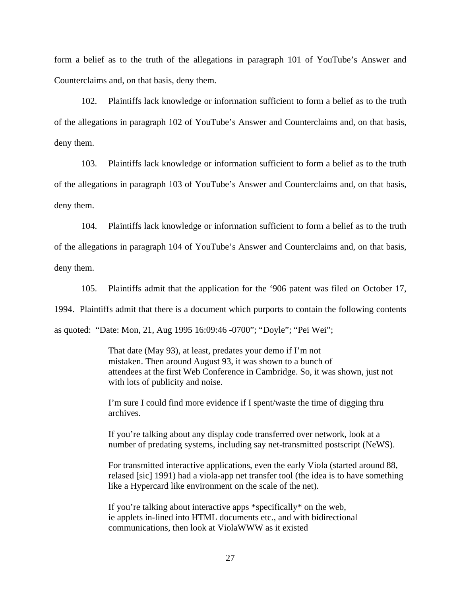form a belief as to the truth of the allegations in paragraph 101 of YouTube's Answer and Counterclaims and, on that basis, deny them.

102. Plaintiffs lack knowledge or information sufficient to form a belief as to the truth of the allegations in paragraph 102 of YouTube's Answer and Counterclaims and, on that basis, deny them.

103. Plaintiffs lack knowledge or information sufficient to form a belief as to the truth of the allegations in paragraph 103 of YouTube's Answer and Counterclaims and, on that basis, deny them.

104. Plaintiffs lack knowledge or information sufficient to form a belief as to the truth of the allegations in paragraph 104 of YouTube's Answer and Counterclaims and, on that basis, deny them.

105. Plaintiffs admit that the application for the '906 patent was filed on October 17, 1994. Plaintiffs admit that there is a document which purports to contain the following contents as quoted: "Date: Mon, 21, Aug 1995 16:09:46 -0700"; "Doyle"; "Pei Wei";

> That date (May 93), at least, predates your demo if I'm not mistaken. Then around August 93, it was shown to a bunch of attendees at the first Web Conference in Cambridge. So, it was shown, just not with lots of publicity and noise.

I'm sure I could find more evidence if I spent/waste the time of digging thru archives.

If you're talking about any display code transferred over network, look at a number of predating systems, including say net-transmitted postscript (NeWS).

For transmitted interactive applications, even the early Viola (started around 88, relased [sic] 1991) had a viola-app net transfer tool (the idea is to have something like a Hypercard like environment on the scale of the net).

If you're talking about interactive apps \*specifically\* on the web, ie applets in-lined into HTML documents etc., and with bidirectional communications, then look at ViolaWWW as it existed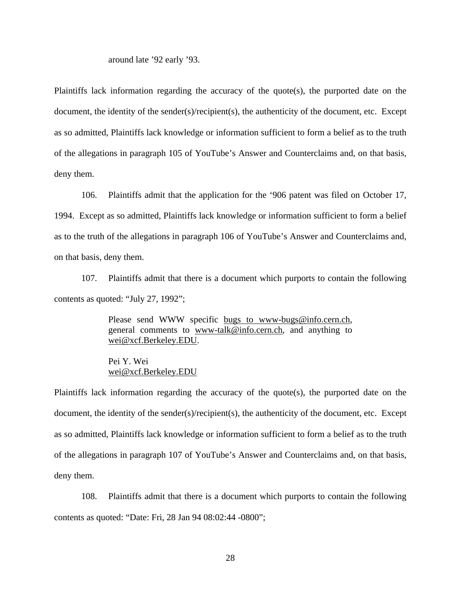around late '92 early '93.

Plaintiffs lack information regarding the accuracy of the quote(s), the purported date on the document, the identity of the sender(s)/recipient(s), the authenticity of the document, etc. Except as so admitted, Plaintiffs lack knowledge or information sufficient to form a belief as to the truth of the allegations in paragraph 105 of YouTube's Answer and Counterclaims and, on that basis, deny them.

106. Plaintiffs admit that the application for the '906 patent was filed on October 17, 1994. Except as so admitted, Plaintiffs lack knowledge or information sufficient to form a belief as to the truth of the allegations in paragraph 106 of YouTube's Answer and Counterclaims and, on that basis, deny them.

107. Plaintiffs admit that there is a document which purports to contain the following contents as quoted: "July 27, 1992";

> Please send WWW specific bugs to www-bugs@info.cern.ch, general comments to www-talk@info.cern.ch, and anything to wei@xcf.Berkeley.EDU.

Pei Y. Wei wei@xcf.Berkeley.EDU

Plaintiffs lack information regarding the accuracy of the quote(s), the purported date on the document, the identity of the sender(s)/recipient(s), the authenticity of the document, etc. Except as so admitted, Plaintiffs lack knowledge or information sufficient to form a belief as to the truth of the allegations in paragraph 107 of YouTube's Answer and Counterclaims and, on that basis, deny them.

108. Plaintiffs admit that there is a document which purports to contain the following contents as quoted: "Date: Fri, 28 Jan 94 08:02:44 -0800";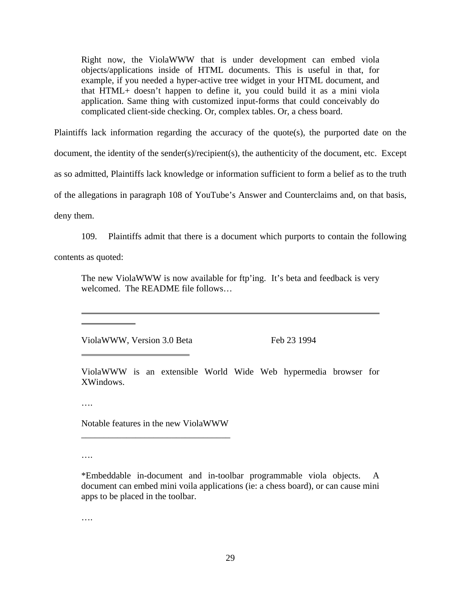Right now, the ViolaWWW that is under development can embed viola objects/applications inside of HTML documents. This is useful in that, for example, if you needed a hyper-active tree widget in your HTML document, and that HTML+ doesn't happen to define it, you could build it as a mini viola application. Same thing with customized input-forms that could conceivably do complicated client-side checking. Or, complex tables. Or, a chess board.

Plaintiffs lack information regarding the accuracy of the quote(s), the purported date on the document, the identity of the sender(s)/recipient(s), the authenticity of the document, etc. Except as so admitted, Plaintiffs lack knowledge or information sufficient to form a belief as to the truth of the allegations in paragraph 108 of YouTube's Answer and Counterclaims and, on that basis, deny them.

109. Plaintiffs admit that there is a document which purports to contain the following contents as quoted:

The new ViolaWWW is now available for ftp'ing. It's beta and feedback is very welcomed. The README file follows…

ViolaWWW, Version 3.0 Beta Feb 23 1994

ViolaWWW is an extensible World Wide Web hypermedia browser for XWindows.

….

 $\overline{a}$  $\overline{a}$ 

 $\overline{a}$ 

Notable features in the new ViolaWWW \_\_\_\_\_\_\_\_\_\_\_\_\_\_\_\_\_\_\_\_\_\_\_\_\_\_\_\_\_\_\_\_\_

….

….

<sup>\*</sup>Embeddable in-document and in-toolbar programmable viola objects. A document can embed mini voila applications (ie: a chess board), or can cause mini apps to be placed in the toolbar.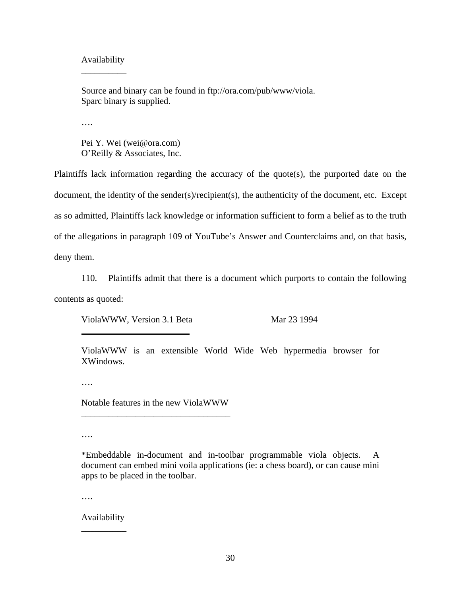### Availability \_\_\_\_\_\_\_\_\_\_

Source and binary can be found in ftp://ora.com/pub/www/viola. Sparc binary is supplied.

….

Pei Y. Wei (wei@ora.com) O'Reilly & Associates, Inc.

Plaintiffs lack information regarding the accuracy of the quote(s), the purported date on the document, the identity of the sender(s)/recipient(s), the authenticity of the document, etc. Except as so admitted, Plaintiffs lack knowledge or information sufficient to form a belief as to the truth of the allegations in paragraph 109 of YouTube's Answer and Counterclaims and, on that basis, deny them.

110. Plaintiffs admit that there is a document which purports to contain the following contents as quoted:

ViolaWWW, Version 3.1 Beta Mar 23 1994

ViolaWWW is an extensible World Wide Web hypermedia browser for XWindows.

….

 $\overline{a}$ 

Notable features in the new ViolaWWW \_\_\_\_\_\_\_\_\_\_\_\_\_\_\_\_\_\_\_\_\_\_\_\_\_\_\_\_\_\_\_\_\_

….

\*Embeddable in-document and in-toolbar programmable viola objects. A document can embed mini voila applications (ie: a chess board), or can cause mini apps to be placed in the toolbar.

….

Availability \_\_\_\_\_\_\_\_\_\_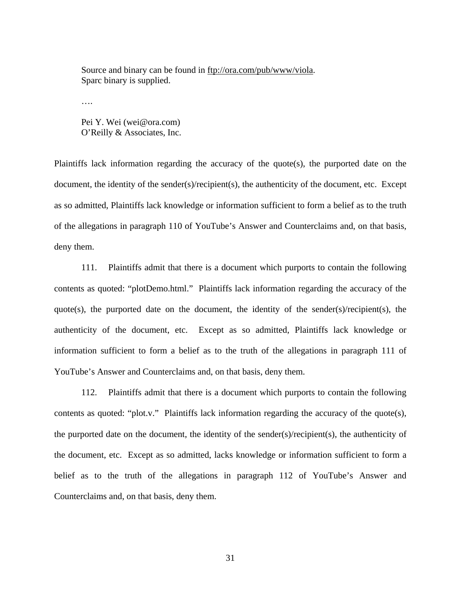Source and binary can be found in ftp://ora.com/pub/www/viola. Sparc binary is supplied.

….

Pei Y. Wei (wei@ora.com) O'Reilly & Associates, Inc.

Plaintiffs lack information regarding the accuracy of the quote(s), the purported date on the document, the identity of the sender(s)/recipient(s), the authenticity of the document, etc. Except as so admitted, Plaintiffs lack knowledge or information sufficient to form a belief as to the truth of the allegations in paragraph 110 of YouTube's Answer and Counterclaims and, on that basis, deny them.

111. Plaintiffs admit that there is a document which purports to contain the following contents as quoted: "plotDemo.html." Plaintiffs lack information regarding the accuracy of the quote(s), the purported date on the document, the identity of the sender(s)/recipient(s), the authenticity of the document, etc. Except as so admitted, Plaintiffs lack knowledge or information sufficient to form a belief as to the truth of the allegations in paragraph 111 of YouTube's Answer and Counterclaims and, on that basis, deny them.

112. Plaintiffs admit that there is a document which purports to contain the following contents as quoted: "plot.v." Plaintiffs lack information regarding the accuracy of the quote(s), the purported date on the document, the identity of the sender(s)/recipient(s), the authenticity of the document, etc. Except as so admitted, lacks knowledge or information sufficient to form a belief as to the truth of the allegations in paragraph 112 of YouTube's Answer and Counterclaims and, on that basis, deny them.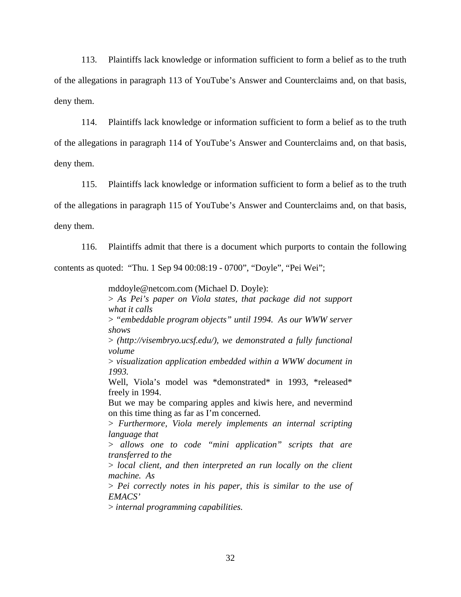113. Plaintiffs lack knowledge or information sufficient to form a belief as to the truth of the allegations in paragraph 113 of YouTube's Answer and Counterclaims and, on that basis, deny them.

114. Plaintiffs lack knowledge or information sufficient to form a belief as to the truth of the allegations in paragraph 114 of YouTube's Answer and Counterclaims and, on that basis, deny them.

115. Plaintiffs lack knowledge or information sufficient to form a belief as to the truth of the allegations in paragraph 115 of YouTube's Answer and Counterclaims and, on that basis, deny them.

116. Plaintiffs admit that there is a document which purports to contain the following contents as quoted: "Thu. 1 Sep 94 00:08:19 - 0700", "Doyle", "Pei Wei";

mddoyle@netcom.com (Michael D. Doyle):

> *As Pei's paper on Viola states, that package did not support what it calls*

> *"embeddable program objects" until 1994. As our WWW server shows*

> *(http://visembryo.ucsf.edu/), we demonstrated a fully functional volume*

> *visualization application embedded within a WWW document in 1993.*

Well, Viola's model was \*demonstrated\* in 1993, \*released\* freely in 1994.

But we may be comparing apples and kiwis here, and nevermind on this time thing as far as I'm concerned.

> *Furthermore, Viola merely implements an internal scripting language that*

> *allows one to code "mini application" scripts that are transferred to the* 

> *local client, and then interpreted an run locally on the client machine. As*

> *Pei correctly notes in his paper, this is similar to the use of EMACS'*

> *internal programming capabilities.*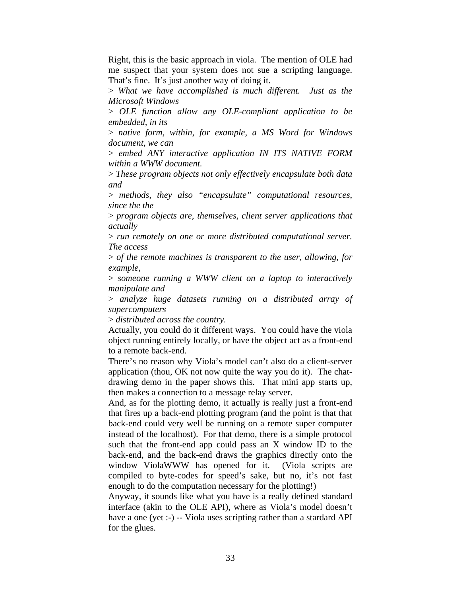Right, this is the basic approach in viola. The mention of OLE had me suspect that your system does not sue a scripting language. That's fine. It's just another way of doing it.

> *What we have accomplished is much different. Just as the Microsoft Windows*

> *OLE function allow any OLE-compliant application to be embedded, in its*

> *native form, within, for example, a MS Word for Windows document, we can*

> *embed ANY interactive application IN ITS NATIVE FORM within a WWW document.*

> *These program objects not only effectively encapsulate both data and* 

> *methods, they also "encapsulate" computational resources, since the the*

> *program objects are, themselves, client server applications that actually* 

> *run remotely on one or more distributed computational server. The access*

> *of the remote machines is transparent to the user, allowing, for example,* 

> *someone running a WWW client on a laptop to interactively manipulate and* 

> *analyze huge datasets running on a distributed array of supercomputers*

> *distributed across the country.*

Actually, you could do it different ways. You could have the viola object running entirely locally, or have the object act as a front-end to a remote back-end.

There's no reason why Viola's model can't also do a client-server application (thou, OK not now quite the way you do it). The chatdrawing demo in the paper shows this. That mini app starts up, then makes a connection to a message relay server.

And, as for the plotting demo, it actually is really just a front-end that fires up a back-end plotting program (and the point is that that back-end could very well be running on a remote super computer instead of the localhost). For that demo, there is a simple protocol such that the front-end app could pass an X window ID to the back-end, and the back-end draws the graphics directly onto the window ViolaWWW has opened for it. (Viola scripts are compiled to byte-codes for speed's sake, but no, it's not fast enough to do the computation necessary for the plotting!)

Anyway, it sounds like what you have is a really defined standard interface (akin to the OLE API), where as Viola's model doesn't have a one (yet :-) -- Viola uses scripting rather than a stardard API for the glues.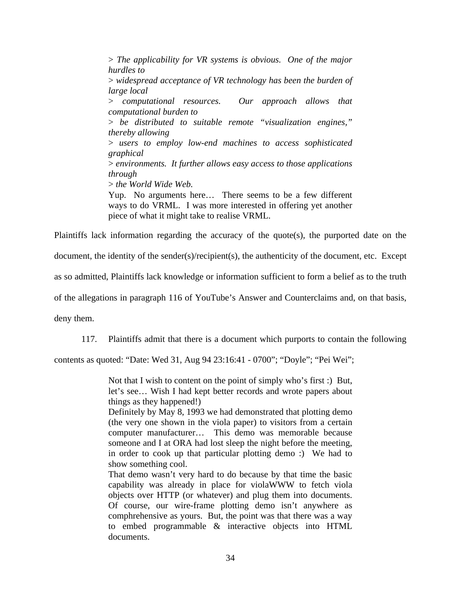> *The applicability for VR systems is obvious. One of the major hurdles to*  > *widespread acceptance of VR technology has been the burden of large local* > *computational resources. Our approach allows that computational burden to*  > *be distributed to suitable remote "visualization engines," thereby allowing* > *users to employ low-end machines to access sophisticated graphical*  > *environments. It further allows easy access to those applications through* > *the World Wide Web.* Yup. No arguments here… There seems to be a few different ways to do VRML. I was more interested in offering yet another piece of what it might take to realise VRML.

Plaintiffs lack information regarding the accuracy of the quote(s), the purported date on the

document, the identity of the sender(s)/recipient(s), the authenticity of the document, etc. Except

as so admitted, Plaintiffs lack knowledge or information sufficient to form a belief as to the truth

of the allegations in paragraph 116 of YouTube's Answer and Counterclaims and, on that basis,

deny them.

117. Plaintiffs admit that there is a document which purports to contain the following

contents as quoted: "Date: Wed 31, Aug 94 23:16:41 - 0700"; "Doyle"; "Pei Wei";

Not that I wish to content on the point of simply who's first :) But, let's see… Wish I had kept better records and wrote papers about things as they happened!)

Definitely by May 8, 1993 we had demonstrated that plotting demo (the very one shown in the viola paper) to visitors from a certain computer manufacturer… This demo was memorable because someone and I at ORA had lost sleep the night before the meeting, in order to cook up that particular plotting demo :) We had to show something cool.

That demo wasn't very hard to do because by that time the basic capability was already in place for violaWWW to fetch viola objects over HTTP (or whatever) and plug them into documents. Of course, our wire-frame plotting demo isn't anywhere as comphrehensive as yours. But, the point was that there was a way to embed programmable & interactive objects into HTML documents.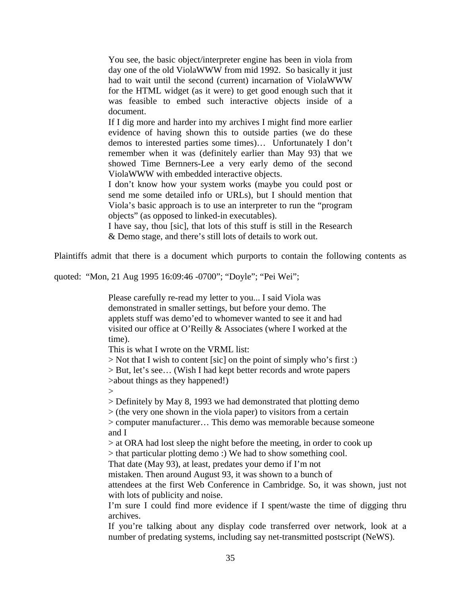You see, the basic object/interpreter engine has been in viola from day one of the old ViolaWWW from mid 1992. So basically it just had to wait until the second (current) incarnation of ViolaWWW for the HTML widget (as it were) to get good enough such that it was feasible to embed such interactive objects inside of a document.

If I dig more and harder into my archives I might find more earlier evidence of having shown this to outside parties (we do these demos to interested parties some times)… Unfortunately I don't remember when it was (definitely earlier than May 93) that we showed Time Bernners-Lee a very early demo of the second ViolaWWW with embedded interactive objects.

I don't know how your system works (maybe you could post or send me some detailed info or URLs), but I should mention that Viola's basic approach is to use an interpreter to run the "program objects" (as opposed to linked-in executables).

I have say, thou [sic], that lots of this stuff is still in the Research & Demo stage, and there's still lots of details to work out.

Plaintiffs admit that there is a document which purports to contain the following contents as

quoted: "Mon, 21 Aug 1995 16:09:46 -0700"; "Doyle"; "Pei Wei";

Please carefully re-read my letter to you... I said Viola was demonstrated in smaller settings, but before your demo. The applets stuff was demo'ed to whomever wanted to see it and had visited our office at O'Reilly & Associates (where I worked at the time).

This is what I wrote on the VRML list:

 $>$  Not that I wish to content [sic] on the point of simply who's first :) > But, let's see… (Wish I had kept better records and wrote papers >about things as they happened!)

 $\geq$ 

> Definitely by May 8, 1993 we had demonstrated that plotting demo

 $>$  (the very one shown in the viola paper) to visitors from a certain

> computer manufacturer… This demo was memorable because someone and I

> at ORA had lost sleep the night before the meeting, in order to cook up > that particular plotting demo :) We had to show something cool.

That date (May 93), at least, predates your demo if I'm not

mistaken. Then around August 93, it was shown to a bunch of

attendees at the first Web Conference in Cambridge. So, it was shown, just not with lots of publicity and noise.

I'm sure I could find more evidence if I spent/waste the time of digging thru archives.

If you're talking about any display code transferred over network, look at a number of predating systems, including say net-transmitted postscript (NeWS).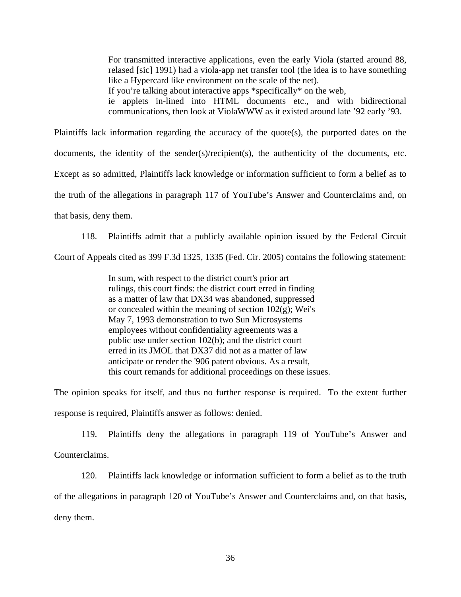For transmitted interactive applications, even the early Viola (started around 88, relased [sic] 1991) had a viola-app net transfer tool (the idea is to have something like a Hypercard like environment on the scale of the net).

If you're talking about interactive apps \*specifically\* on the web,

ie applets in-lined into HTML documents etc., and with bidirectional communications, then look at ViolaWWW as it existed around late '92 early '93.

Plaintiffs lack information regarding the accuracy of the quote(s), the purported dates on the documents, the identity of the sender(s)/recipient(s), the authenticity of the documents, etc. Except as so admitted, Plaintiffs lack knowledge or information sufficient to form a belief as to the truth of the allegations in paragraph 117 of YouTube's Answer and Counterclaims and, on that basis, deny them.

118. Plaintiffs admit that a publicly available opinion issued by the Federal Circuit Court of Appeals cited as 399 F.3d 1325, 1335 (Fed. Cir. 2005) contains the following statement:

> In sum, with respect to the district court's prior art rulings, this court finds: the district court erred in finding as a matter of law that DX34 was abandoned, suppressed or concealed within the meaning of section  $102(g)$ ; Wei's May 7, 1993 demonstration to two Sun Microsystems employees without confidentiality agreements was a public use under section 102(b); and the district court erred in its JMOL that DX37 did not as a matter of law anticipate or render the '906 patent obvious. As a result, this court remands for additional proceedings on these issues.

The opinion speaks for itself, and thus no further response is required. To the extent further response is required, Plaintiffs answer as follows: denied.

119. Plaintiffs deny the allegations in paragraph 119 of YouTube's Answer and Counterclaims.

120. Plaintiffs lack knowledge or information sufficient to form a belief as to the truth of the allegations in paragraph 120 of YouTube's Answer and Counterclaims and, on that basis, deny them.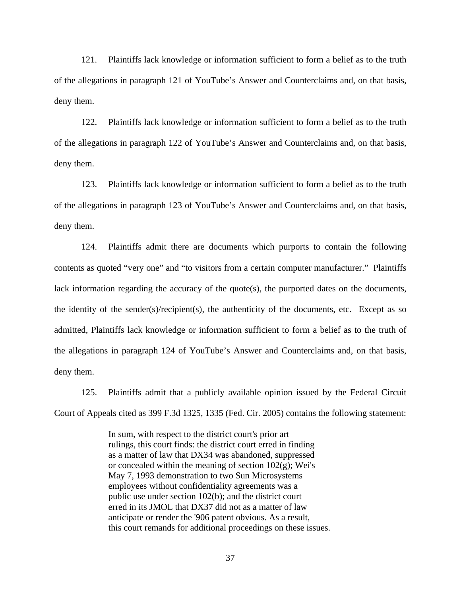121. Plaintiffs lack knowledge or information sufficient to form a belief as to the truth of the allegations in paragraph 121 of YouTube's Answer and Counterclaims and, on that basis, deny them.

122. Plaintiffs lack knowledge or information sufficient to form a belief as to the truth of the allegations in paragraph 122 of YouTube's Answer and Counterclaims and, on that basis, deny them.

123. Plaintiffs lack knowledge or information sufficient to form a belief as to the truth of the allegations in paragraph 123 of YouTube's Answer and Counterclaims and, on that basis, deny them.

124. Plaintiffs admit there are documents which purports to contain the following contents as quoted "very one" and "to visitors from a certain computer manufacturer." Plaintiffs lack information regarding the accuracy of the quote(s), the purported dates on the documents, the identity of the sender(s)/recipient(s), the authenticity of the documents, etc. Except as so admitted, Plaintiffs lack knowledge or information sufficient to form a belief as to the truth of the allegations in paragraph 124 of YouTube's Answer and Counterclaims and, on that basis, deny them.

125. Plaintiffs admit that a publicly available opinion issued by the Federal Circuit Court of Appeals cited as 399 F.3d 1325, 1335 (Fed. Cir. 2005) contains the following statement:

> In sum, with respect to the district court's prior art rulings, this court finds: the district court erred in finding as a matter of law that DX34 was abandoned, suppressed or concealed within the meaning of section  $102(g)$ ; Wei's May 7, 1993 demonstration to two Sun Microsystems employees without confidentiality agreements was a public use under section 102(b); and the district court erred in its JMOL that DX37 did not as a matter of law anticipate or render the '906 patent obvious. As a result, this court remands for additional proceedings on these issues.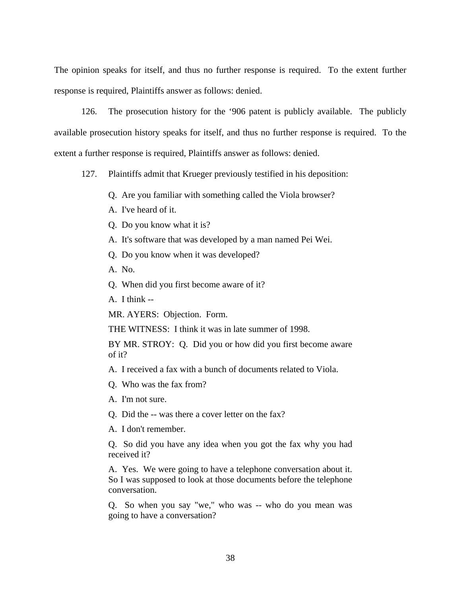The opinion speaks for itself, and thus no further response is required. To the extent further response is required, Plaintiffs answer as follows: denied.

126. The prosecution history for the '906 patent is publicly available. The publicly available prosecution history speaks for itself, and thus no further response is required. To the extent a further response is required, Plaintiffs answer as follows: denied.

127. Plaintiffs admit that Krueger previously testified in his deposition:

- Q. Are you familiar with something called the Viola browser?
- A. I've heard of it.
- Q. Do you know what it is?
- A. It's software that was developed by a man named Pei Wei.
- Q. Do you know when it was developed?
- A. No.
- Q. When did you first become aware of it?
- A. I think --

MR. AYERS: Objection. Form.

THE WITNESS: I think it was in late summer of 1998.

BY MR. STROY: Q. Did you or how did you first become aware of it?

A. I received a fax with a bunch of documents related to Viola.

- Q. Who was the fax from?
- A. I'm not sure.
- Q. Did the -- was there a cover letter on the fax?
- A. I don't remember.

Q. So did you have any idea when you got the fax why you had received it?

A. Yes. We were going to have a telephone conversation about it. So I was supposed to look at those documents before the telephone conversation.

Q. So when you say "we," who was -- who do you mean was going to have a conversation?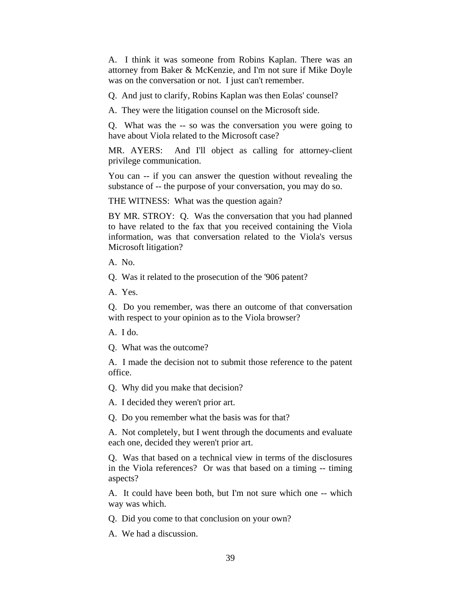A. I think it was someone from Robins Kaplan. There was an attorney from Baker & McKenzie, and I'm not sure if Mike Doyle was on the conversation or not. I just can't remember.

Q. And just to clarify, Robins Kaplan was then Eolas' counsel?

A. They were the litigation counsel on the Microsoft side.

Q. What was the -- so was the conversation you were going to have about Viola related to the Microsoft case?

MR. AYERS: And I'll object as calling for attorney-client privilege communication.

You can -- if you can answer the question without revealing the substance of -- the purpose of your conversation, you may do so.

THE WITNESS: What was the question again?

BY MR. STROY: Q. Was the conversation that you had planned to have related to the fax that you received containing the Viola information, was that conversation related to the Viola's versus Microsoft litigation?

A. No.

Q. Was it related to the prosecution of the '906 patent?

A. Yes.

Q. Do you remember, was there an outcome of that conversation with respect to your opinion as to the Viola browser?

A. I do.

Q. What was the outcome?

A. I made the decision not to submit those reference to the patent office.

Q. Why did you make that decision?

A. I decided they weren't prior art.

Q. Do you remember what the basis was for that?

A. Not completely, but I went through the documents and evaluate each one, decided they weren't prior art.

Q. Was that based on a technical view in terms of the disclosures in the Viola references? Or was that based on a timing -- timing aspects?

A. It could have been both, but I'm not sure which one -- which way was which.

Q. Did you come to that conclusion on your own?

A. We had a discussion.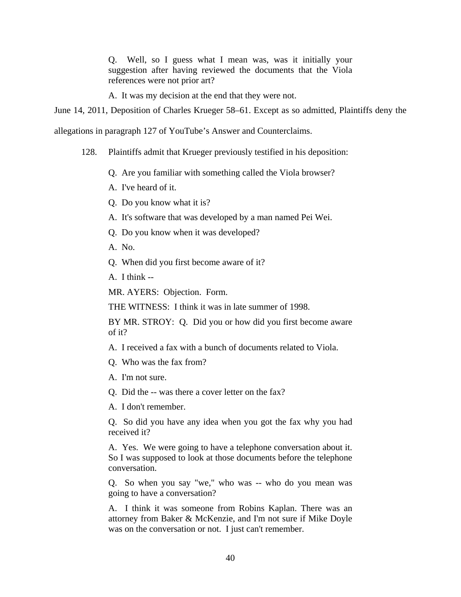Q. Well, so I guess what I mean was, was it initially your suggestion after having reviewed the documents that the Viola references were not prior art?

A. It was my decision at the end that they were not.

June 14, 2011, Deposition of Charles Krueger 58–61. Except as so admitted, Plaintiffs deny the

allegations in paragraph 127 of YouTube's Answer and Counterclaims.

128. Plaintiffs admit that Krueger previously testified in his deposition:

Q. Are you familiar with something called the Viola browser?

A. I've heard of it.

Q. Do you know what it is?

A. It's software that was developed by a man named Pei Wei.

Q. Do you know when it was developed?

A. No.

Q. When did you first become aware of it?

A. I think --

MR. AYERS: Objection. Form.

THE WITNESS: I think it was in late summer of 1998.

BY MR. STROY: Q. Did you or how did you first become aware of it?

A. I received a fax with a bunch of documents related to Viola.

Q. Who was the fax from?

A. I'm not sure.

Q. Did the -- was there a cover letter on the fax?

A. I don't remember.

Q. So did you have any idea when you got the fax why you had received it?

A. Yes. We were going to have a telephone conversation about it. So I was supposed to look at those documents before the telephone conversation.

Q. So when you say "we," who was -- who do you mean was going to have a conversation?

A. I think it was someone from Robins Kaplan. There was an attorney from Baker & McKenzie, and I'm not sure if Mike Doyle was on the conversation or not. I just can't remember.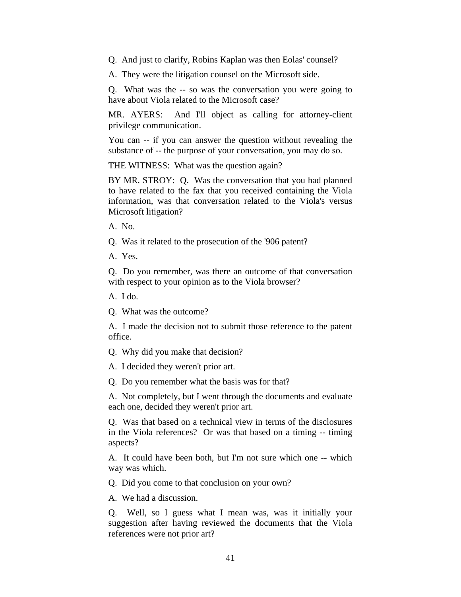Q. And just to clarify, Robins Kaplan was then Eolas' counsel?

A. They were the litigation counsel on the Microsoft side.

Q. What was the -- so was the conversation you were going to have about Viola related to the Microsoft case?

MR. AYERS: And I'll object as calling for attorney-client privilege communication.

You can -- if you can answer the question without revealing the substance of -- the purpose of your conversation, you may do so.

THE WITNESS: What was the question again?

BY MR. STROY: Q. Was the conversation that you had planned to have related to the fax that you received containing the Viola information, was that conversation related to the Viola's versus Microsoft litigation?

A. No.

Q. Was it related to the prosecution of the '906 patent?

A. Yes.

Q. Do you remember, was there an outcome of that conversation with respect to your opinion as to the Viola browser?

A. I do.

Q. What was the outcome?

A. I made the decision not to submit those reference to the patent office.

Q. Why did you make that decision?

A. I decided they weren't prior art.

Q. Do you remember what the basis was for that?

A. Not completely, but I went through the documents and evaluate each one, decided they weren't prior art.

Q. Was that based on a technical view in terms of the disclosures in the Viola references? Or was that based on a timing -- timing aspects?

A. It could have been both, but I'm not sure which one -- which way was which.

Q. Did you come to that conclusion on your own?

A. We had a discussion.

Q. Well, so I guess what I mean was, was it initially your suggestion after having reviewed the documents that the Viola references were not prior art?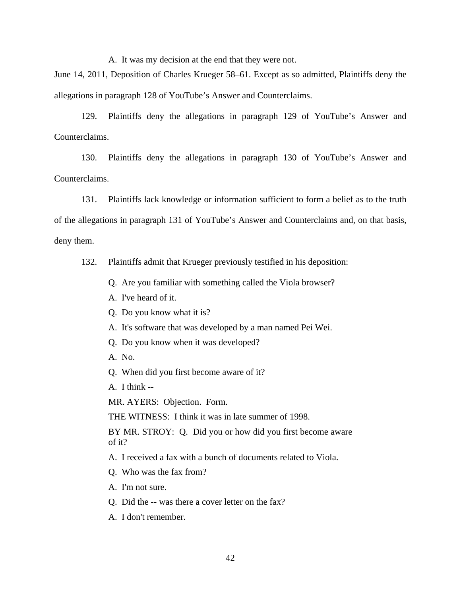A. It was my decision at the end that they were not.

June 14, 2011, Deposition of Charles Krueger 58–61. Except as so admitted, Plaintiffs deny the allegations in paragraph 128 of YouTube's Answer and Counterclaims.

129. Plaintiffs deny the allegations in paragraph 129 of YouTube's Answer and Counterclaims.

130. Plaintiffs deny the allegations in paragraph 130 of YouTube's Answer and Counterclaims.

131. Plaintiffs lack knowledge or information sufficient to form a belief as to the truth of the allegations in paragraph 131 of YouTube's Answer and Counterclaims and, on that basis, deny them.

132. Plaintiffs admit that Krueger previously testified in his deposition:

- Q. Are you familiar with something called the Viola browser?
- A. I've heard of it.
- Q. Do you know what it is?
- A. It's software that was developed by a man named Pei Wei.
- Q. Do you know when it was developed?
- A. No.
- Q. When did you first become aware of it?
- A. I think --

MR. AYERS: Objection. Form.

THE WITNESS: I think it was in late summer of 1998.

BY MR. STROY: Q. Did you or how did you first become aware of it?

A. I received a fax with a bunch of documents related to Viola.

- Q. Who was the fax from?
- A. I'm not sure.
- Q. Did the -- was there a cover letter on the fax?
- A. I don't remember.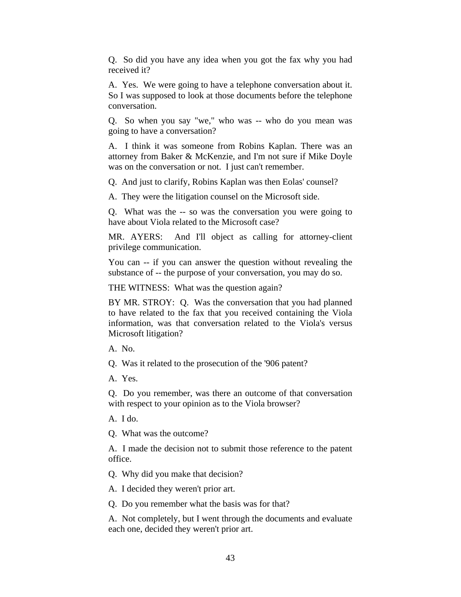Q. So did you have any idea when you got the fax why you had received it?

A. Yes. We were going to have a telephone conversation about it. So I was supposed to look at those documents before the telephone conversation.

Q. So when you say "we," who was -- who do you mean was going to have a conversation?

A. I think it was someone from Robins Kaplan. There was an attorney from Baker & McKenzie, and I'm not sure if Mike Doyle was on the conversation or not. I just can't remember.

Q. And just to clarify, Robins Kaplan was then Eolas' counsel?

A. They were the litigation counsel on the Microsoft side.

Q. What was the -- so was the conversation you were going to have about Viola related to the Microsoft case?

MR. AYERS: And I'll object as calling for attorney-client privilege communication.

You can -- if you can answer the question without revealing the substance of -- the purpose of your conversation, you may do so.

THE WITNESS: What was the question again?

BY MR. STROY: Q. Was the conversation that you had planned to have related to the fax that you received containing the Viola information, was that conversation related to the Viola's versus Microsoft litigation?

A. No.

Q. Was it related to the prosecution of the '906 patent?

A. Yes.

Q. Do you remember, was there an outcome of that conversation with respect to your opinion as to the Viola browser?

A. I do.

Q. What was the outcome?

A. I made the decision not to submit those reference to the patent office.

Q. Why did you make that decision?

A. I decided they weren't prior art.

Q. Do you remember what the basis was for that?

A. Not completely, but I went through the documents and evaluate each one, decided they weren't prior art.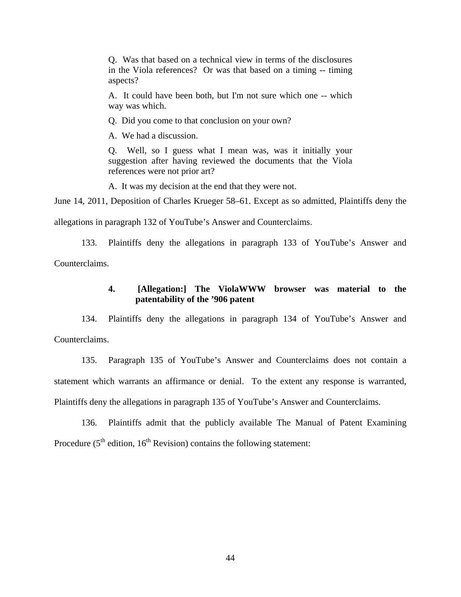Q. Was that based on a technical view in terms of the disclosures in the Viola references? Or was that based on a timing -- timing aspects?

A. It could have been both, but I'm not sure which one -- which way was which.

Q. Did you come to that conclusion on your own?

A. We had a discussion.

Q. Well, so I guess what I mean was, was it initially your suggestion after having reviewed the documents that the Viola references were not prior art?

A. It was my decision at the end that they were not.

June 14, 2011, Deposition of Charles Krueger 58–61. Except as so admitted, Plaintiffs deny the

allegations in paragraph 132 of YouTube's Answer and Counterclaims.

133. Plaintiffs deny the allegations in paragraph 133 of YouTube's Answer and Counterclaims.

## **4. [Allegation:] The ViolaWWW browser was material to the patentability of the '906 patent**

134. Plaintiffs deny the allegations in paragraph 134 of YouTube's Answer and Counterclaims.

135. Paragraph 135 of YouTube's Answer and Counterclaims does not contain a statement which warrants an affirmance or denial. To the extent any response is warranted, Plaintiffs deny the allegations in paragraph 135 of YouTube's Answer and Counterclaims.

136. Plaintiffs admit that the publicly available The Manual of Patent Examining Procedure ( $5<sup>th</sup>$  edition,  $16<sup>th</sup>$  Revision) contains the following statement: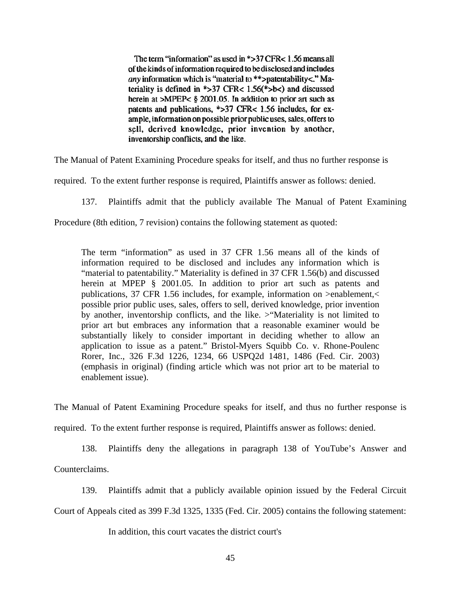The term "information" as used in \*>37 CFR< 1.56 means all of the kinds of information required to be disclosed and includes *any* information which is "material to \*\*>patentability<." Materiality is defined in \*>37 CFR<  $1.56$ (\*>b<) and discussed herein at  $>MPEP < \S$  2001.05. In addition to prior art such as patents and publications, \*>37 CFR< 1.56 includes, for example, information on possible prior public uses, sales, offers to sell, derived knowledge, prior invention by another, inventorship conflicts, and the like.

The Manual of Patent Examining Procedure speaks for itself, and thus no further response is

required. To the extent further response is required, Plaintiffs answer as follows: denied.

137. Plaintiffs admit that the publicly available The Manual of Patent Examining

Procedure (8th edition, 7 revision) contains the following statement as quoted:

The term "information" as used in 37 CFR 1.56 means all of the kinds of information required to be disclosed and includes any information which is "material to patentability." Materiality is defined in 37 CFR 1.56(b) and discussed herein at MPEP § 2001.05. In addition to prior art such as patents and publications, 37 CFR 1.56 includes, for example, information on >enablement,< possible prior public uses, sales, offers to sell, derived knowledge, prior invention by another, inventorship conflicts, and the like. >"Materiality is not limited to prior art but embraces any information that a reasonable examiner would be substantially likely to consider important in deciding whether to allow an application to issue as a patent." Bristol-Myers Squibb Co. v. Rhone-Poulenc Rorer, Inc., 326 F.3d 1226, 1234, 66 USPQ2d 1481, 1486 (Fed. Cir. 2003) (emphasis in original) (finding article which was not prior art to be material to enablement issue).

The Manual of Patent Examining Procedure speaks for itself, and thus no further response is

required. To the extent further response is required, Plaintiffs answer as follows: denied.

138. Plaintiffs deny the allegations in paragraph 138 of YouTube's Answer and

Counterclaims.

139. Plaintiffs admit that a publicly available opinion issued by the Federal Circuit

Court of Appeals cited as 399 F.3d 1325, 1335 (Fed. Cir. 2005) contains the following statement:

In addition, this court vacates the district court's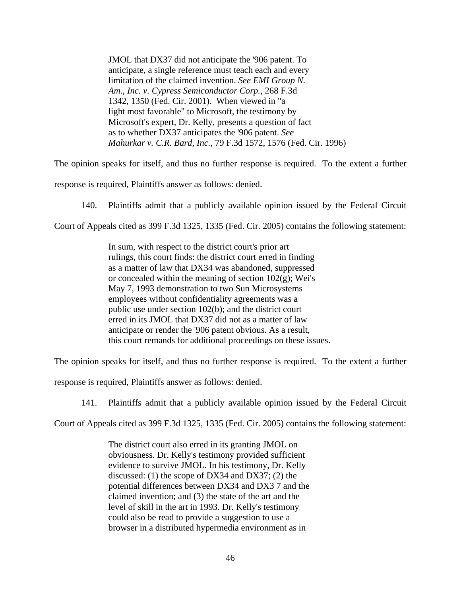JMOL that DX37 did not anticipate the '906 patent. To anticipate, a single reference must teach each and every limitation of the claimed invention. *See EMI Group N. Am., Inc. v. Cypress Semiconductor Corp.*, 268 F.3d 1342, 1350 (Fed. Cir. 2001). When viewed in "a light most favorable" to Microsoft, the testimony by Microsoft's expert, Dr. Kelly, presents a question of fact as to whether DX37 anticipates the '906 patent. *See Mahurkar v. C.R. Bard, Inc.*, 79 F.3d 1572, 1576 (Fed. Cir. 1996)

The opinion speaks for itself, and thus no further response is required. To the extent a further

response is required, Plaintiffs answer as follows: denied.

140. Plaintiffs admit that a publicly available opinion issued by the Federal Circuit

Court of Appeals cited as 399 F.3d 1325, 1335 (Fed. Cir. 2005) contains the following statement:

In sum, with respect to the district court's prior art rulings, this court finds: the district court erred in finding as a matter of law that DX34 was abandoned, suppressed or concealed within the meaning of section  $102(g)$ ; Wei's May 7, 1993 demonstration to two Sun Microsystems employees without confidentiality agreements was a public use under section 102(b); and the district court erred in its JMOL that DX37 did not as a matter of law anticipate or render the '906 patent obvious. As a result, this court remands for additional proceedings on these issues.

The opinion speaks for itself, and thus no further response is required. To the extent a further

response is required, Plaintiffs answer as follows: denied.

141. Plaintiffs admit that a publicly available opinion issued by the Federal Circuit

Court of Appeals cited as 399 F.3d 1325, 1335 (Fed. Cir. 2005) contains the following statement:

The district court also erred in its granting JMOL on obviousness. Dr. Kelly's testimony provided sufficient evidence to survive JMOL. In his testimony, Dr. Kelly discussed: (1) the scope of DX34 and DX37; (2) the potential differences between DX34 and DX3 7 and the claimed invention; and (3) the state of the art and the level of skill in the art in 1993. Dr. Kelly's testimony could also be read to provide a suggestion to use a browser in a distributed hypermedia environment as in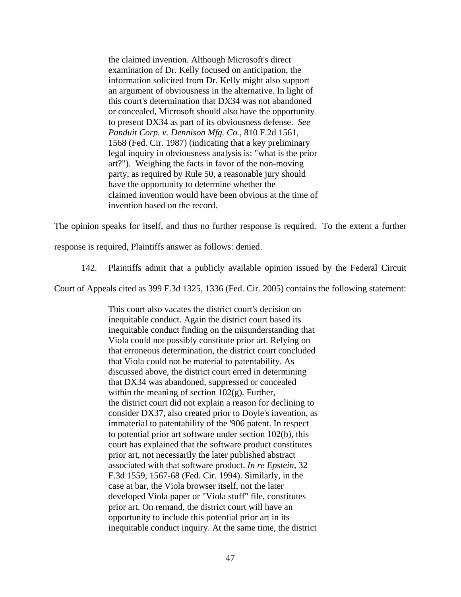the claimed invention. Although Microsoft's direct examination of Dr. Kelly focused on anticipation, the information solicited from Dr. Kelly might also support an argument of obviousness in the alternative. In light of this court's determination that DX34 was not abandoned or concealed, Microsoft should also have the opportunity to present DX34 as part of its obviousness defense. *See Panduit Corp. v. Dennison Mfg. Co.*, 810 F.2d 1561, 1568 (Fed. Cir. 1987) (indicating that a key preliminary legal inquiry in obviousness analysis is: "what is the prior art?"). Weighing the facts in favor of the non-moving party, as required by Rule 50, a reasonable jury should have the opportunity to determine whether the claimed invention would have been obvious at the time of invention based on the record.

The opinion speaks for itself, and thus no further response is required. To the extent a further

response is required, Plaintiffs answer as follows: denied.

142. Plaintiffs admit that a publicly available opinion issued by the Federal Circuit

Court of Appeals cited as 399 F.3d 1325, 1336 (Fed. Cir. 2005) contains the following statement:

This court also vacates the district court's decision on inequitable conduct. Again the district court based its inequitable conduct finding on the misunderstanding that Viola could not possibly constitute prior art. Relying on that erroneous determination, the district court concluded that Viola could not be material to patentability. As discussed above, the district court erred in determining that DX34 was abandoned, suppressed or concealed within the meaning of section  $102(g)$ . Further, the district court did not explain a reason for declining to consider DX37, also created prior to Doyle's invention, as immaterial to patentability of the '906 patent. In respect to potential prior art software under section 102(b), this court has explained that the software product constitutes prior art, not necessarily the later published abstract associated with that software product. *In re Epstein*, 32 F.3d 1559, 1567-68 (Fed. Cir. 1994). Similarly, in the case at bar, the Viola browser itself, not the later developed Viola paper or "Viola stuff" file, constitutes prior art. On remand, the district court will have an opportunity to include this potential prior art in its inequitable conduct inquiry. At the same time, the district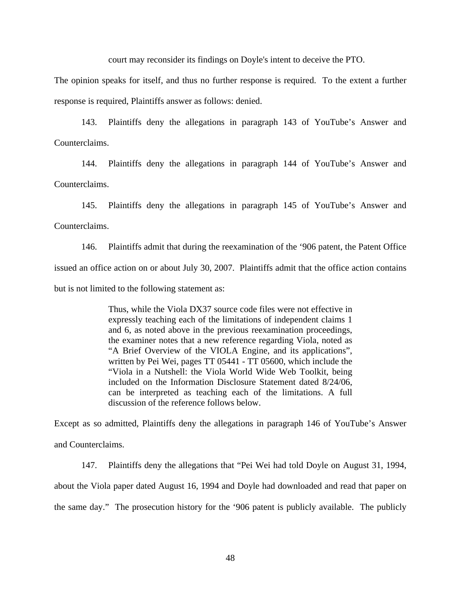court may reconsider its findings on Doyle's intent to deceive the PTO.

The opinion speaks for itself, and thus no further response is required. To the extent a further response is required, Plaintiffs answer as follows: denied.

143. Plaintiffs deny the allegations in paragraph 143 of YouTube's Answer and Counterclaims.

144. Plaintiffs deny the allegations in paragraph 144 of YouTube's Answer and Counterclaims.

145. Plaintiffs deny the allegations in paragraph 145 of YouTube's Answer and Counterclaims.

146. Plaintiffs admit that during the reexamination of the '906 patent, the Patent Office issued an office action on or about July 30, 2007. Plaintiffs admit that the office action contains but is not limited to the following statement as:

> Thus, while the Viola DX37 source code files were not effective in expressly teaching each of the limitations of independent claims 1 and 6, as noted above in the previous reexamination proceedings, the examiner notes that a new reference regarding Viola, noted as "A Brief Overview of the VIOLA Engine, and its applications", written by Pei Wei, pages TT 05441 - TT 05600, which include the "Viola in a Nutshell: the Viola World Wide Web Toolkit, being included on the Information Disclosure Statement dated 8/24/06, can be interpreted as teaching each of the limitations. A full discussion of the reference follows below.

Except as so admitted, Plaintiffs deny the allegations in paragraph 146 of YouTube's Answer and Counterclaims.

147. Plaintiffs deny the allegations that "Pei Wei had told Doyle on August 31, 1994, about the Viola paper dated August 16, 1994 and Doyle had downloaded and read that paper on the same day." The prosecution history for the '906 patent is publicly available. The publicly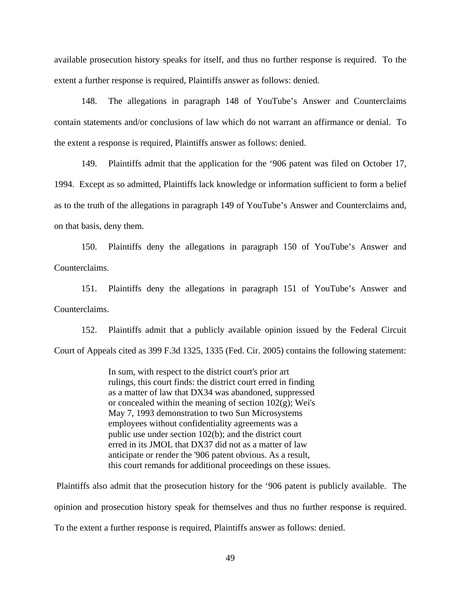available prosecution history speaks for itself, and thus no further response is required. To the extent a further response is required, Plaintiffs answer as follows: denied.

148. The allegations in paragraph 148 of YouTube's Answer and Counterclaims contain statements and/or conclusions of law which do not warrant an affirmance or denial. To the extent a response is required, Plaintiffs answer as follows: denied.

149. Plaintiffs admit that the application for the '906 patent was filed on October 17, 1994. Except as so admitted, Plaintiffs lack knowledge or information sufficient to form a belief as to the truth of the allegations in paragraph 149 of YouTube's Answer and Counterclaims and, on that basis, deny them.

150. Plaintiffs deny the allegations in paragraph 150 of YouTube's Answer and Counterclaims.

151. Plaintiffs deny the allegations in paragraph 151 of YouTube's Answer and Counterclaims.

152. Plaintiffs admit that a publicly available opinion issued by the Federal Circuit Court of Appeals cited as 399 F.3d 1325, 1335 (Fed. Cir. 2005) contains the following statement:

> In sum, with respect to the district court's prior art rulings, this court finds: the district court erred in finding as a matter of law that DX34 was abandoned, suppressed or concealed within the meaning of section  $102(g)$ ; Wei's May 7, 1993 demonstration to two Sun Microsystems employees without confidentiality agreements was a public use under section 102(b); and the district court erred in its JMOL that DX37 did not as a matter of law anticipate or render the '906 patent obvious. As a result, this court remands for additional proceedings on these issues.

 Plaintiffs also admit that the prosecution history for the '906 patent is publicly available. The opinion and prosecution history speak for themselves and thus no further response is required. To the extent a further response is required, Plaintiffs answer as follows: denied.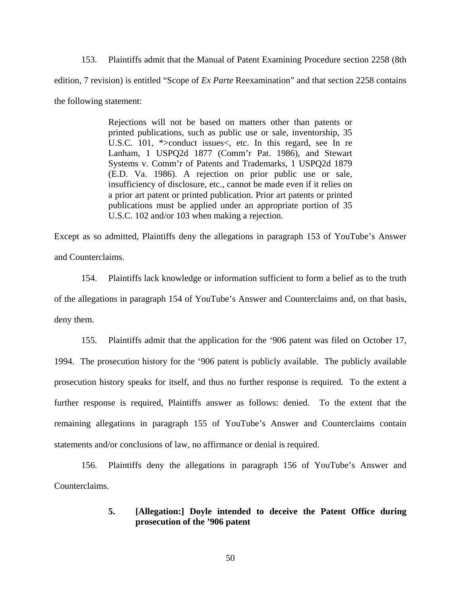153. Plaintiffs admit that the Manual of Patent Examining Procedure section 2258 (8th edition, 7 revision) is entitled "Scope of *Ex Parte* Reexamination" and that section 2258 contains the following statement:

> Rejections will not be based on matters other than patents or printed publications, such as public use or sale, inventorship, 35 U.S.C. 101, \*>conduct issues<, etc. In this regard, see In re Lanham, 1 USPQ2d 1877 (Comm'r Pat. 1986), and Stewart Systems v. Comm'r of Patents and Trademarks, 1 USPQ2d 1879 (E.D. Va. 1986). A rejection on prior public use or sale, insufficiency of disclosure, etc., cannot be made even if it relies on a prior art patent or printed publication. Prior art patents or printed publications must be applied under an appropriate portion of 35 U.S.C. 102 and/or 103 when making a rejection.

Except as so admitted, Plaintiffs deny the allegations in paragraph 153 of YouTube's Answer and Counterclaims.

154. Plaintiffs lack knowledge or information sufficient to form a belief as to the truth of the allegations in paragraph 154 of YouTube's Answer and Counterclaims and, on that basis, deny them.

155. Plaintiffs admit that the application for the '906 patent was filed on October 17, 1994. The prosecution history for the '906 patent is publicly available. The publicly available prosecution history speaks for itself, and thus no further response is required. To the extent a further response is required, Plaintiffs answer as follows: denied. To the extent that the remaining allegations in paragraph 155 of YouTube's Answer and Counterclaims contain statements and/or conclusions of law, no affirmance or denial is required.

156. Plaintiffs deny the allegations in paragraph 156 of YouTube's Answer and Counterclaims.

## **5. [Allegation:] Doyle intended to deceive the Patent Office during prosecution of the '906 patent**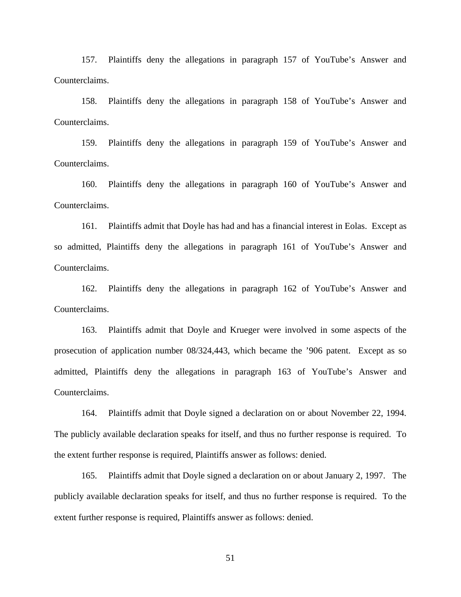157. Plaintiffs deny the allegations in paragraph 157 of YouTube's Answer and Counterclaims.

158. Plaintiffs deny the allegations in paragraph 158 of YouTube's Answer and Counterclaims.

159. Plaintiffs deny the allegations in paragraph 159 of YouTube's Answer and Counterclaims.

160. Plaintiffs deny the allegations in paragraph 160 of YouTube's Answer and Counterclaims.

161. Plaintiffs admit that Doyle has had and has a financial interest in Eolas. Except as so admitted, Plaintiffs deny the allegations in paragraph 161 of YouTube's Answer and Counterclaims.

162. Plaintiffs deny the allegations in paragraph 162 of YouTube's Answer and Counterclaims.

163. Plaintiffs admit that Doyle and Krueger were involved in some aspects of the prosecution of application number 08/324,443, which became the '906 patent. Except as so admitted, Plaintiffs deny the allegations in paragraph 163 of YouTube's Answer and Counterclaims.

164. Plaintiffs admit that Doyle signed a declaration on or about November 22, 1994. The publicly available declaration speaks for itself, and thus no further response is required. To the extent further response is required, Plaintiffs answer as follows: denied.

165. Plaintiffs admit that Doyle signed a declaration on or about January 2, 1997. The publicly available declaration speaks for itself, and thus no further response is required. To the extent further response is required, Plaintiffs answer as follows: denied.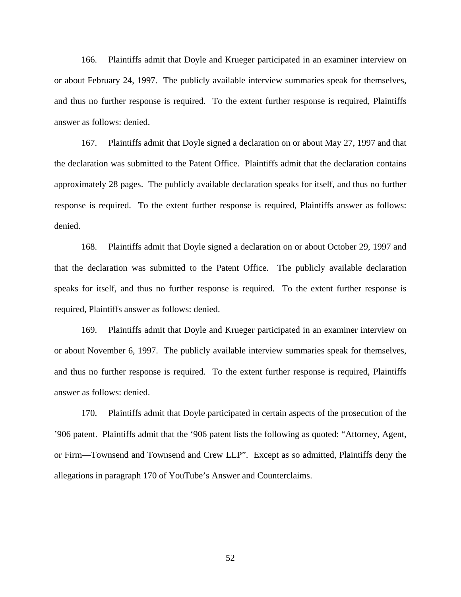166. Plaintiffs admit that Doyle and Krueger participated in an examiner interview on or about February 24, 1997. The publicly available interview summaries speak for themselves, and thus no further response is required. To the extent further response is required, Plaintiffs answer as follows: denied.

167. Plaintiffs admit that Doyle signed a declaration on or about May 27, 1997 and that the declaration was submitted to the Patent Office. Plaintiffs admit that the declaration contains approximately 28 pages. The publicly available declaration speaks for itself, and thus no further response is required. To the extent further response is required, Plaintiffs answer as follows: denied.

168. Plaintiffs admit that Doyle signed a declaration on or about October 29, 1997 and that the declaration was submitted to the Patent Office. The publicly available declaration speaks for itself, and thus no further response is required. To the extent further response is required, Plaintiffs answer as follows: denied.

169. Plaintiffs admit that Doyle and Krueger participated in an examiner interview on or about November 6, 1997. The publicly available interview summaries speak for themselves, and thus no further response is required. To the extent further response is required, Plaintiffs answer as follows: denied.

170. Plaintiffs admit that Doyle participated in certain aspects of the prosecution of the '906 patent. Plaintiffs admit that the '906 patent lists the following as quoted: "Attorney, Agent, or Firm—Townsend and Townsend and Crew LLP". Except as so admitted, Plaintiffs deny the allegations in paragraph 170 of YouTube's Answer and Counterclaims.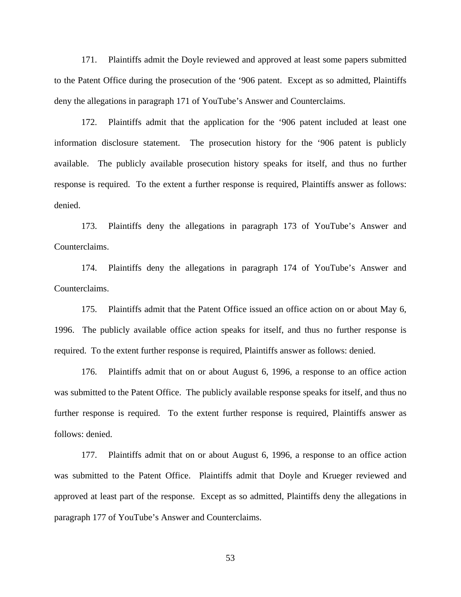171. Plaintiffs admit the Doyle reviewed and approved at least some papers submitted to the Patent Office during the prosecution of the '906 patent. Except as so admitted, Plaintiffs deny the allegations in paragraph 171 of YouTube's Answer and Counterclaims.

172. Plaintiffs admit that the application for the '906 patent included at least one information disclosure statement. The prosecution history for the '906 patent is publicly available. The publicly available prosecution history speaks for itself, and thus no further response is required. To the extent a further response is required, Plaintiffs answer as follows: denied.

173. Plaintiffs deny the allegations in paragraph 173 of YouTube's Answer and Counterclaims.

174. Plaintiffs deny the allegations in paragraph 174 of YouTube's Answer and Counterclaims.

175. Plaintiffs admit that the Patent Office issued an office action on or about May 6, 1996. The publicly available office action speaks for itself, and thus no further response is required. To the extent further response is required, Plaintiffs answer as follows: denied.

176. Plaintiffs admit that on or about August 6, 1996, a response to an office action was submitted to the Patent Office. The publicly available response speaks for itself, and thus no further response is required. To the extent further response is required, Plaintiffs answer as follows: denied.

177. Plaintiffs admit that on or about August 6, 1996, a response to an office action was submitted to the Patent Office. Plaintiffs admit that Doyle and Krueger reviewed and approved at least part of the response. Except as so admitted, Plaintiffs deny the allegations in paragraph 177 of YouTube's Answer and Counterclaims.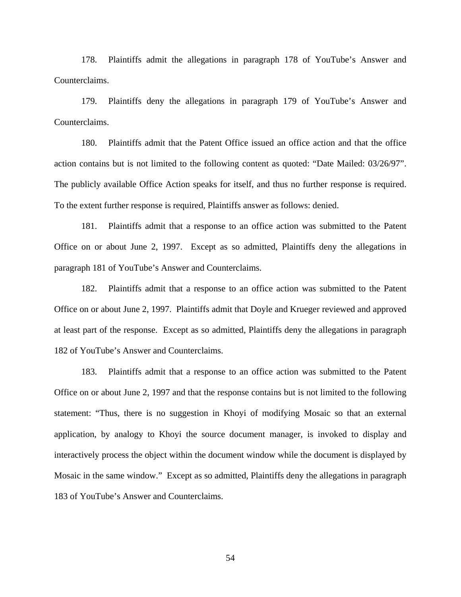178. Plaintiffs admit the allegations in paragraph 178 of YouTube's Answer and Counterclaims.

179. Plaintiffs deny the allegations in paragraph 179 of YouTube's Answer and Counterclaims.

180. Plaintiffs admit that the Patent Office issued an office action and that the office action contains but is not limited to the following content as quoted: "Date Mailed: 03/26/97". The publicly available Office Action speaks for itself, and thus no further response is required. To the extent further response is required, Plaintiffs answer as follows: denied.

181. Plaintiffs admit that a response to an office action was submitted to the Patent Office on or about June 2, 1997. Except as so admitted, Plaintiffs deny the allegations in paragraph 181 of YouTube's Answer and Counterclaims.

182. Plaintiffs admit that a response to an office action was submitted to the Patent Office on or about June 2, 1997. Plaintiffs admit that Doyle and Krueger reviewed and approved at least part of the response. Except as so admitted, Plaintiffs deny the allegations in paragraph 182 of YouTube's Answer and Counterclaims.

183. Plaintiffs admit that a response to an office action was submitted to the Patent Office on or about June 2, 1997 and that the response contains but is not limited to the following statement: "Thus, there is no suggestion in Khoyi of modifying Mosaic so that an external application, by analogy to Khoyi the source document manager, is invoked to display and interactively process the object within the document window while the document is displayed by Mosaic in the same window." Except as so admitted, Plaintiffs deny the allegations in paragraph 183 of YouTube's Answer and Counterclaims.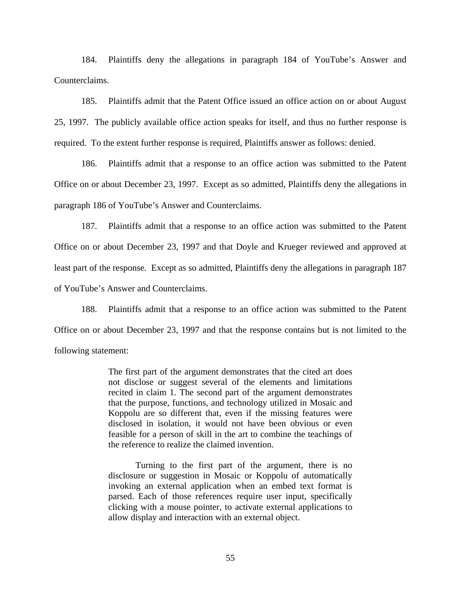184. Plaintiffs deny the allegations in paragraph 184 of YouTube's Answer and Counterclaims.

185. Plaintiffs admit that the Patent Office issued an office action on or about August 25, 1997. The publicly available office action speaks for itself, and thus no further response is required. To the extent further response is required, Plaintiffs answer as follows: denied.

186. Plaintiffs admit that a response to an office action was submitted to the Patent Office on or about December 23, 1997. Except as so admitted, Plaintiffs deny the allegations in paragraph 186 of YouTube's Answer and Counterclaims.

187. Plaintiffs admit that a response to an office action was submitted to the Patent Office on or about December 23, 1997 and that Doyle and Krueger reviewed and approved at least part of the response. Except as so admitted, Plaintiffs deny the allegations in paragraph 187 of YouTube's Answer and Counterclaims.

188. Plaintiffs admit that a response to an office action was submitted to the Patent Office on or about December 23, 1997 and that the response contains but is not limited to the following statement:

> The first part of the argument demonstrates that the cited art does not disclose or suggest several of the elements and limitations recited in claim 1. The second part of the argument demonstrates that the purpose, functions, and technology utilized in Mosaic and Koppolu are so different that, even if the missing features were disclosed in isolation, it would not have been obvious or even feasible for a person of skill in the art to combine the teachings of the reference to realize the claimed invention.

> Turning to the first part of the argument, there is no disclosure or suggestion in Mosaic or Koppolu of automatically invoking an external application when an embed text format is parsed. Each of those references require user input, specifically clicking with a mouse pointer, to activate external applications to allow display and interaction with an external object.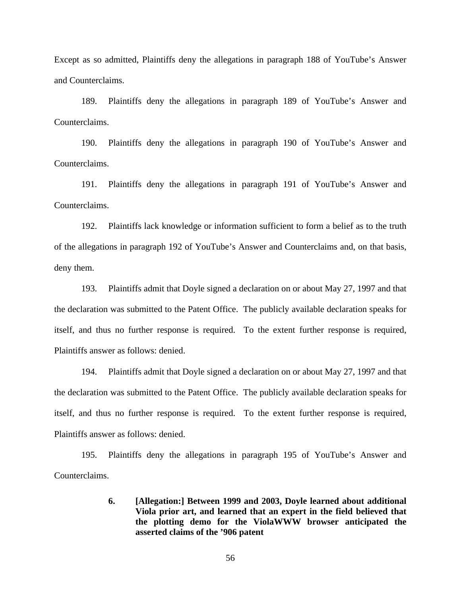Except as so admitted, Plaintiffs deny the allegations in paragraph 188 of YouTube's Answer and Counterclaims.

189. Plaintiffs deny the allegations in paragraph 189 of YouTube's Answer and Counterclaims.

190. Plaintiffs deny the allegations in paragraph 190 of YouTube's Answer and Counterclaims.

191. Plaintiffs deny the allegations in paragraph 191 of YouTube's Answer and Counterclaims.

192. Plaintiffs lack knowledge or information sufficient to form a belief as to the truth of the allegations in paragraph 192 of YouTube's Answer and Counterclaims and, on that basis, deny them.

193. Plaintiffs admit that Doyle signed a declaration on or about May 27, 1997 and that the declaration was submitted to the Patent Office. The publicly available declaration speaks for itself, and thus no further response is required. To the extent further response is required, Plaintiffs answer as follows: denied.

194. Plaintiffs admit that Doyle signed a declaration on or about May 27, 1997 and that the declaration was submitted to the Patent Office. The publicly available declaration speaks for itself, and thus no further response is required. To the extent further response is required, Plaintiffs answer as follows: denied.

195. Plaintiffs deny the allegations in paragraph 195 of YouTube's Answer and Counterclaims.

> **6. [Allegation:] Between 1999 and 2003, Doyle learned about additional Viola prior art, and learned that an expert in the field believed that the plotting demo for the ViolaWWW browser anticipated the asserted claims of the '906 patent**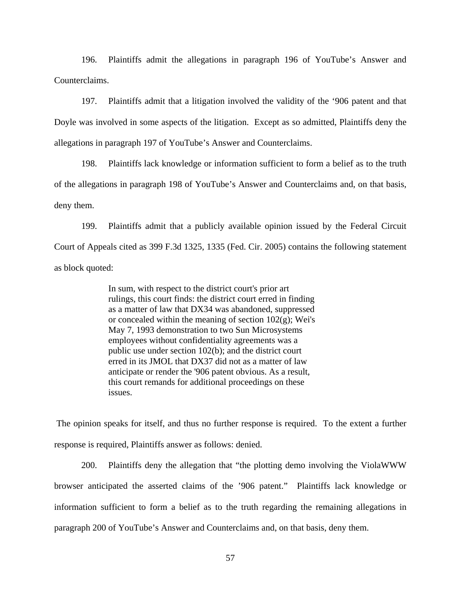196. Plaintiffs admit the allegations in paragraph 196 of YouTube's Answer and Counterclaims.

197. Plaintiffs admit that a litigation involved the validity of the '906 patent and that Doyle was involved in some aspects of the litigation. Except as so admitted, Plaintiffs deny the allegations in paragraph 197 of YouTube's Answer and Counterclaims.

198. Plaintiffs lack knowledge or information sufficient to form a belief as to the truth of the allegations in paragraph 198 of YouTube's Answer and Counterclaims and, on that basis, deny them.

199. Plaintiffs admit that a publicly available opinion issued by the Federal Circuit Court of Appeals cited as 399 F.3d 1325, 1335 (Fed. Cir. 2005) contains the following statement as block quoted:

> In sum, with respect to the district court's prior art rulings, this court finds: the district court erred in finding as a matter of law that DX34 was abandoned, suppressed or concealed within the meaning of section  $102(g)$ ; Wei's May 7, 1993 demonstration to two Sun Microsystems employees without confidentiality agreements was a public use under section 102(b); and the district court erred in its JMOL that DX37 did not as a matter of law anticipate or render the '906 patent obvious. As a result, this court remands for additional proceedings on these issues.

 The opinion speaks for itself, and thus no further response is required. To the extent a further response is required, Plaintiffs answer as follows: denied.

200. Plaintiffs deny the allegation that "the plotting demo involving the ViolaWWW browser anticipated the asserted claims of the '906 patent." Plaintiffs lack knowledge or information sufficient to form a belief as to the truth regarding the remaining allegations in paragraph 200 of YouTube's Answer and Counterclaims and, on that basis, deny them.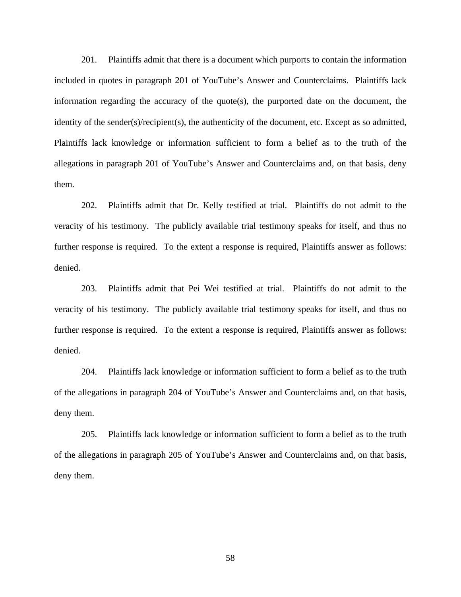201. Plaintiffs admit that there is a document which purports to contain the information included in quotes in paragraph 201 of YouTube's Answer and Counterclaims. Plaintiffs lack information regarding the accuracy of the quote(s), the purported date on the document, the identity of the sender(s)/recipient(s), the authenticity of the document, etc. Except as so admitted, Plaintiffs lack knowledge or information sufficient to form a belief as to the truth of the allegations in paragraph 201 of YouTube's Answer and Counterclaims and, on that basis, deny them.

202. Plaintiffs admit that Dr. Kelly testified at trial. Plaintiffs do not admit to the veracity of his testimony. The publicly available trial testimony speaks for itself, and thus no further response is required. To the extent a response is required, Plaintiffs answer as follows: denied.

203. Plaintiffs admit that Pei Wei testified at trial. Plaintiffs do not admit to the veracity of his testimony. The publicly available trial testimony speaks for itself, and thus no further response is required. To the extent a response is required, Plaintiffs answer as follows: denied.

204. Plaintiffs lack knowledge or information sufficient to form a belief as to the truth of the allegations in paragraph 204 of YouTube's Answer and Counterclaims and, on that basis, deny them.

205. Plaintiffs lack knowledge or information sufficient to form a belief as to the truth of the allegations in paragraph 205 of YouTube's Answer and Counterclaims and, on that basis, deny them.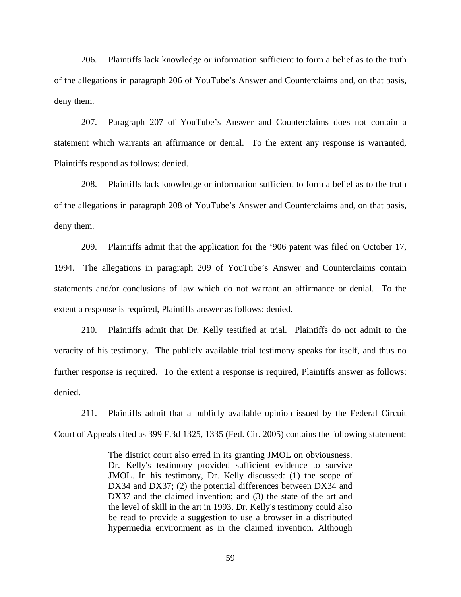206. Plaintiffs lack knowledge or information sufficient to form a belief as to the truth of the allegations in paragraph 206 of YouTube's Answer and Counterclaims and, on that basis, deny them.

207. Paragraph 207 of YouTube's Answer and Counterclaims does not contain a statement which warrants an affirmance or denial. To the extent any response is warranted, Plaintiffs respond as follows: denied.

208. Plaintiffs lack knowledge or information sufficient to form a belief as to the truth of the allegations in paragraph 208 of YouTube's Answer and Counterclaims and, on that basis, deny them.

209. Plaintiffs admit that the application for the '906 patent was filed on October 17, 1994. The allegations in paragraph 209 of YouTube's Answer and Counterclaims contain statements and/or conclusions of law which do not warrant an affirmance or denial. To the extent a response is required, Plaintiffs answer as follows: denied.

210. Plaintiffs admit that Dr. Kelly testified at trial. Plaintiffs do not admit to the veracity of his testimony. The publicly available trial testimony speaks for itself, and thus no further response is required. To the extent a response is required, Plaintiffs answer as follows: denied.

211. Plaintiffs admit that a publicly available opinion issued by the Federal Circuit Court of Appeals cited as 399 F.3d 1325, 1335 (Fed. Cir. 2005) contains the following statement:

> The district court also erred in its granting JMOL on obviousness. Dr. Kelly's testimony provided sufficient evidence to survive JMOL. In his testimony, Dr. Kelly discussed: (1) the scope of DX34 and DX37; (2) the potential differences between DX34 and DX37 and the claimed invention; and (3) the state of the art and the level of skill in the art in 1993. Dr. Kelly's testimony could also be read to provide a suggestion to use a browser in a distributed hypermedia environment as in the claimed invention. Although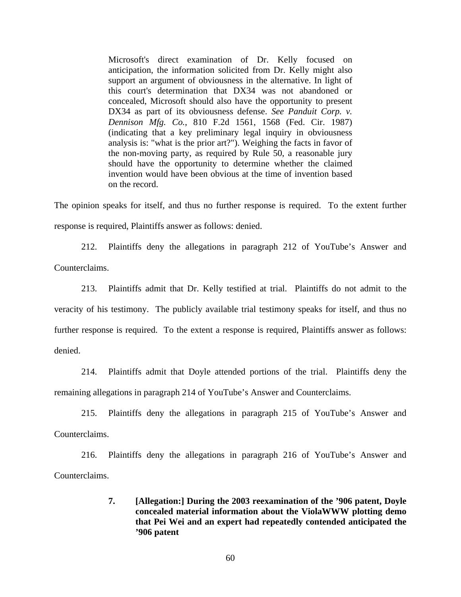Microsoft's direct examination of Dr. Kelly focused on anticipation, the information solicited from Dr. Kelly might also support an argument of obviousness in the alternative. In light of this court's determination that DX34 was not abandoned or concealed, Microsoft should also have the opportunity to present DX34 as part of its obviousness defense. *See Panduit Corp. v. Dennison Mfg. Co.*, 810 F.2d 1561, 1568 (Fed. Cir. 1987) (indicating that a key preliminary legal inquiry in obviousness analysis is: "what is the prior art?"). Weighing the facts in favor of the non-moving party, as required by Rule 50, a reasonable jury should have the opportunity to determine whether the claimed invention would have been obvious at the time of invention based on the record.

The opinion speaks for itself, and thus no further response is required. To the extent further response is required, Plaintiffs answer as follows: denied.

212. Plaintiffs deny the allegations in paragraph 212 of YouTube's Answer and Counterclaims.

213. Plaintiffs admit that Dr. Kelly testified at trial. Plaintiffs do not admit to the veracity of his testimony. The publicly available trial testimony speaks for itself, and thus no further response is required. To the extent a response is required, Plaintiffs answer as follows: denied.

214. Plaintiffs admit that Doyle attended portions of the trial. Plaintiffs deny the remaining allegations in paragraph 214 of YouTube's Answer and Counterclaims.

215. Plaintiffs deny the allegations in paragraph 215 of YouTube's Answer and Counterclaims.

216. Plaintiffs deny the allegations in paragraph 216 of YouTube's Answer and Counterclaims.

> **7. [Allegation:] During the 2003 reexamination of the '906 patent, Doyle concealed material information about the ViolaWWW plotting demo that Pei Wei and an expert had repeatedly contended anticipated the '906 patent**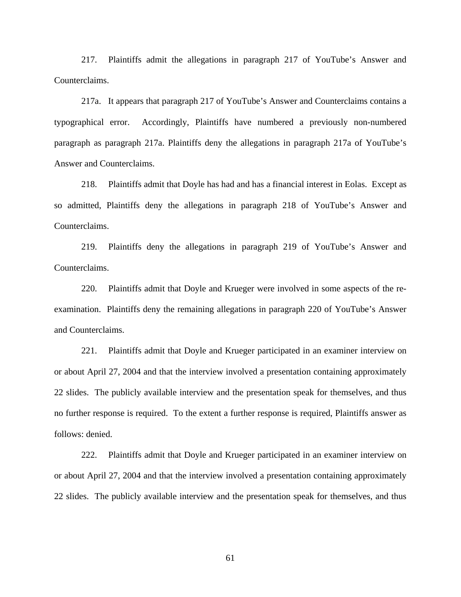217. Plaintiffs admit the allegations in paragraph 217 of YouTube's Answer and Counterclaims.

217a. It appears that paragraph 217 of YouTube's Answer and Counterclaims contains a typographical error. Accordingly, Plaintiffs have numbered a previously non-numbered paragraph as paragraph 217a. Plaintiffs deny the allegations in paragraph 217a of YouTube's Answer and Counterclaims.

218. Plaintiffs admit that Doyle has had and has a financial interest in Eolas. Except as so admitted, Plaintiffs deny the allegations in paragraph 218 of YouTube's Answer and Counterclaims.

219. Plaintiffs deny the allegations in paragraph 219 of YouTube's Answer and Counterclaims.

220. Plaintiffs admit that Doyle and Krueger were involved in some aspects of the reexamination. Plaintiffs deny the remaining allegations in paragraph 220 of YouTube's Answer and Counterclaims.

221. Plaintiffs admit that Doyle and Krueger participated in an examiner interview on or about April 27, 2004 and that the interview involved a presentation containing approximately 22 slides. The publicly available interview and the presentation speak for themselves, and thus no further response is required. To the extent a further response is required, Plaintiffs answer as follows: denied.

222. Plaintiffs admit that Doyle and Krueger participated in an examiner interview on or about April 27, 2004 and that the interview involved a presentation containing approximately 22 slides. The publicly available interview and the presentation speak for themselves, and thus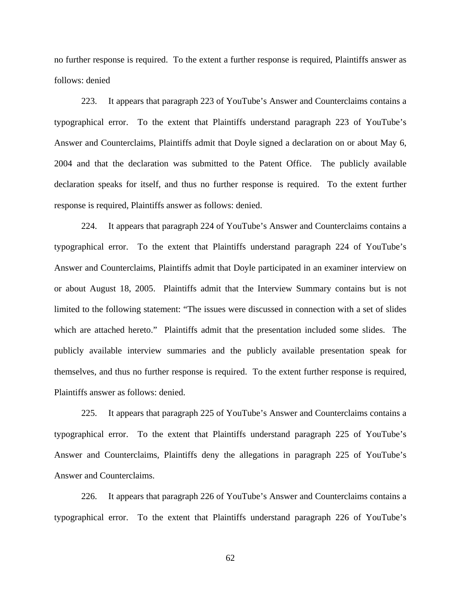no further response is required. To the extent a further response is required, Plaintiffs answer as follows: denied

223. It appears that paragraph 223 of YouTube's Answer and Counterclaims contains a typographical error. To the extent that Plaintiffs understand paragraph 223 of YouTube's Answer and Counterclaims, Plaintiffs admit that Doyle signed a declaration on or about May 6, 2004 and that the declaration was submitted to the Patent Office. The publicly available declaration speaks for itself, and thus no further response is required. To the extent further response is required, Plaintiffs answer as follows: denied.

224. It appears that paragraph 224 of YouTube's Answer and Counterclaims contains a typographical error. To the extent that Plaintiffs understand paragraph 224 of YouTube's Answer and Counterclaims, Plaintiffs admit that Doyle participated in an examiner interview on or about August 18, 2005. Plaintiffs admit that the Interview Summary contains but is not limited to the following statement: "The issues were discussed in connection with a set of slides which are attached hereto." Plaintiffs admit that the presentation included some slides. The publicly available interview summaries and the publicly available presentation speak for themselves, and thus no further response is required. To the extent further response is required, Plaintiffs answer as follows: denied.

225. It appears that paragraph 225 of YouTube's Answer and Counterclaims contains a typographical error. To the extent that Plaintiffs understand paragraph 225 of YouTube's Answer and Counterclaims, Plaintiffs deny the allegations in paragraph 225 of YouTube's Answer and Counterclaims.

226. It appears that paragraph 226 of YouTube's Answer and Counterclaims contains a typographical error. To the extent that Plaintiffs understand paragraph 226 of YouTube's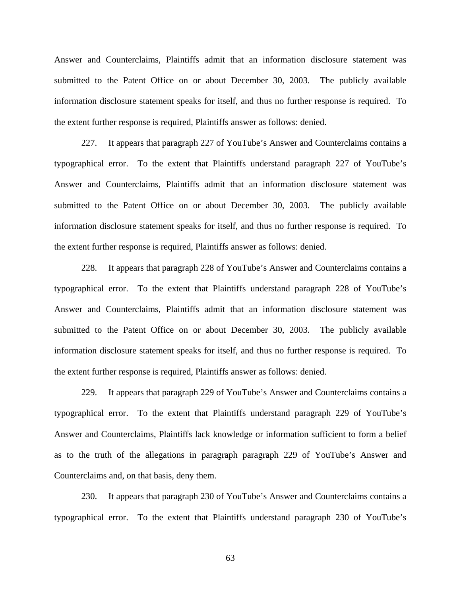Answer and Counterclaims, Plaintiffs admit that an information disclosure statement was submitted to the Patent Office on or about December 30, 2003. The publicly available information disclosure statement speaks for itself, and thus no further response is required. To the extent further response is required, Plaintiffs answer as follows: denied.

227. It appears that paragraph 227 of YouTube's Answer and Counterclaims contains a typographical error. To the extent that Plaintiffs understand paragraph 227 of YouTube's Answer and Counterclaims, Plaintiffs admit that an information disclosure statement was submitted to the Patent Office on or about December 30, 2003. The publicly available information disclosure statement speaks for itself, and thus no further response is required. To the extent further response is required, Plaintiffs answer as follows: denied.

228. It appears that paragraph 228 of YouTube's Answer and Counterclaims contains a typographical error. To the extent that Plaintiffs understand paragraph 228 of YouTube's Answer and Counterclaims, Plaintiffs admit that an information disclosure statement was submitted to the Patent Office on or about December 30, 2003. The publicly available information disclosure statement speaks for itself, and thus no further response is required. To the extent further response is required, Plaintiffs answer as follows: denied.

229. It appears that paragraph 229 of YouTube's Answer and Counterclaims contains a typographical error. To the extent that Plaintiffs understand paragraph 229 of YouTube's Answer and Counterclaims, Plaintiffs lack knowledge or information sufficient to form a belief as to the truth of the allegations in paragraph paragraph 229 of YouTube's Answer and Counterclaims and, on that basis, deny them.

230. It appears that paragraph 230 of YouTube's Answer and Counterclaims contains a typographical error. To the extent that Plaintiffs understand paragraph 230 of YouTube's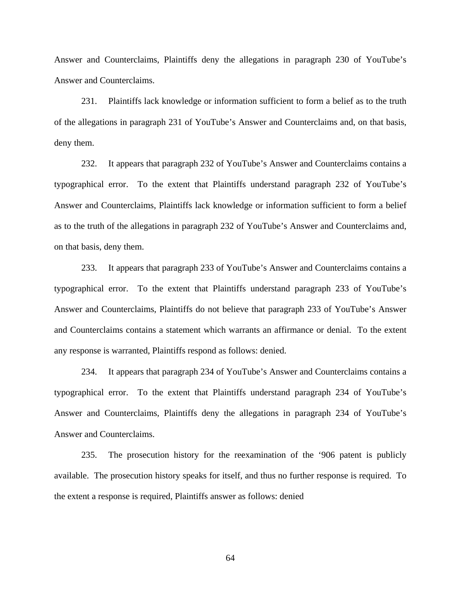Answer and Counterclaims, Plaintiffs deny the allegations in paragraph 230 of YouTube's Answer and Counterclaims.

231. Plaintiffs lack knowledge or information sufficient to form a belief as to the truth of the allegations in paragraph 231 of YouTube's Answer and Counterclaims and, on that basis, deny them.

232. It appears that paragraph 232 of YouTube's Answer and Counterclaims contains a typographical error. To the extent that Plaintiffs understand paragraph 232 of YouTube's Answer and Counterclaims, Plaintiffs lack knowledge or information sufficient to form a belief as to the truth of the allegations in paragraph 232 of YouTube's Answer and Counterclaims and, on that basis, deny them.

233. It appears that paragraph 233 of YouTube's Answer and Counterclaims contains a typographical error. To the extent that Plaintiffs understand paragraph 233 of YouTube's Answer and Counterclaims, Plaintiffs do not believe that paragraph 233 of YouTube's Answer and Counterclaims contains a statement which warrants an affirmance or denial. To the extent any response is warranted, Plaintiffs respond as follows: denied.

234. It appears that paragraph 234 of YouTube's Answer and Counterclaims contains a typographical error. To the extent that Plaintiffs understand paragraph 234 of YouTube's Answer and Counterclaims, Plaintiffs deny the allegations in paragraph 234 of YouTube's Answer and Counterclaims.

235. The prosecution history for the reexamination of the '906 patent is publicly available. The prosecution history speaks for itself, and thus no further response is required. To the extent a response is required, Plaintiffs answer as follows: denied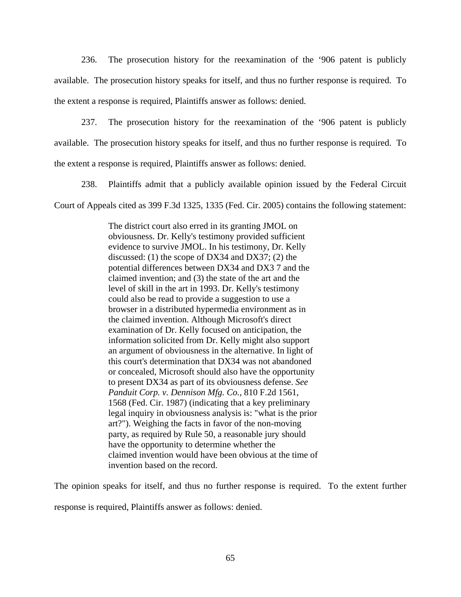236. The prosecution history for the reexamination of the '906 patent is publicly available. The prosecution history speaks for itself, and thus no further response is required. To the extent a response is required, Plaintiffs answer as follows: denied.

237. The prosecution history for the reexamination of the '906 patent is publicly available. The prosecution history speaks for itself, and thus no further response is required. To the extent a response is required, Plaintiffs answer as follows: denied.

238. Plaintiffs admit that a publicly available opinion issued by the Federal Circuit Court of Appeals cited as 399 F.3d 1325, 1335 (Fed. Cir. 2005) contains the following statement:

> The district court also erred in its granting JMOL on obviousness. Dr. Kelly's testimony provided sufficient evidence to survive JMOL. In his testimony, Dr. Kelly discussed: (1) the scope of DX34 and DX37; (2) the potential differences between DX34 and DX3 7 and the claimed invention; and (3) the state of the art and the level of skill in the art in 1993. Dr. Kelly's testimony could also be read to provide a suggestion to use a browser in a distributed hypermedia environment as in the claimed invention. Although Microsoft's direct examination of Dr. Kelly focused on anticipation, the information solicited from Dr. Kelly might also support an argument of obviousness in the alternative. In light of this court's determination that DX34 was not abandoned or concealed, Microsoft should also have the opportunity to present DX34 as part of its obviousness defense. *See Panduit Corp. v. Dennison Mfg. Co.*, 810 F.2d 1561, 1568 (Fed. Cir. 1987) (indicating that a key preliminary legal inquiry in obviousness analysis is: "what is the prior art?"). Weighing the facts in favor of the non-moving party, as required by Rule 50, a reasonable jury should have the opportunity to determine whether the claimed invention would have been obvious at the time of invention based on the record.

The opinion speaks for itself, and thus no further response is required. To the extent further

response is required, Plaintiffs answer as follows: denied.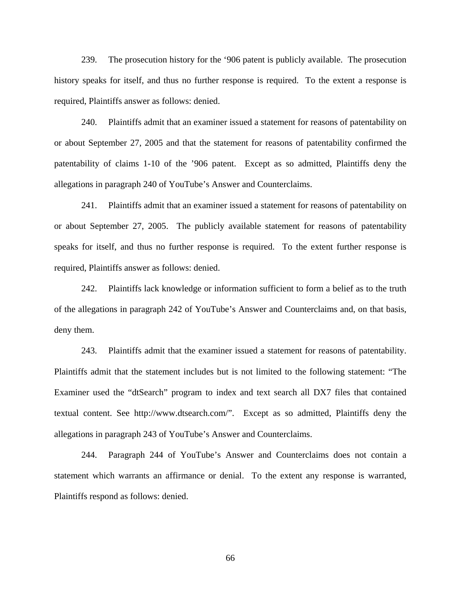239. The prosecution history for the '906 patent is publicly available. The prosecution history speaks for itself, and thus no further response is required. To the extent a response is required, Plaintiffs answer as follows: denied.

240. Plaintiffs admit that an examiner issued a statement for reasons of patentability on or about September 27, 2005 and that the statement for reasons of patentability confirmed the patentability of claims 1-10 of the '906 patent. Except as so admitted, Plaintiffs deny the allegations in paragraph 240 of YouTube's Answer and Counterclaims.

241. Plaintiffs admit that an examiner issued a statement for reasons of patentability on or about September 27, 2005. The publicly available statement for reasons of patentability speaks for itself, and thus no further response is required. To the extent further response is required, Plaintiffs answer as follows: denied.

242. Plaintiffs lack knowledge or information sufficient to form a belief as to the truth of the allegations in paragraph 242 of YouTube's Answer and Counterclaims and, on that basis, deny them.

243. Plaintiffs admit that the examiner issued a statement for reasons of patentability. Plaintiffs admit that the statement includes but is not limited to the following statement: "The Examiner used the "dtSearch" program to index and text search all DX7 files that contained textual content. See http://www.dtsearch.com/". Except as so admitted, Plaintiffs deny the allegations in paragraph 243 of YouTube's Answer and Counterclaims.

244. Paragraph 244 of YouTube's Answer and Counterclaims does not contain a statement which warrants an affirmance or denial. To the extent any response is warranted, Plaintiffs respond as follows: denied.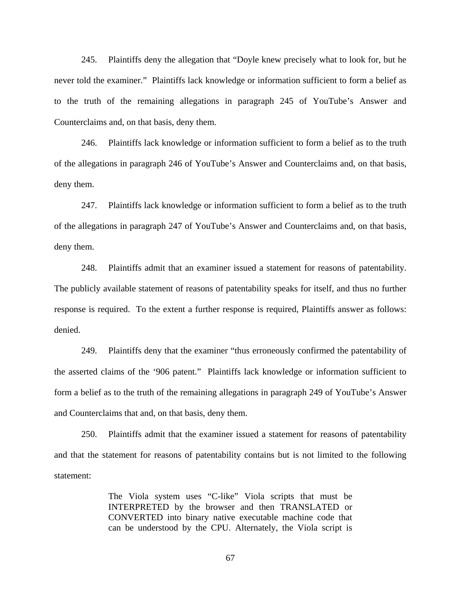245. Plaintiffs deny the allegation that "Doyle knew precisely what to look for, but he never told the examiner." Plaintiffs lack knowledge or information sufficient to form a belief as to the truth of the remaining allegations in paragraph 245 of YouTube's Answer and Counterclaims and, on that basis, deny them.

246. Plaintiffs lack knowledge or information sufficient to form a belief as to the truth of the allegations in paragraph 246 of YouTube's Answer and Counterclaims and, on that basis, deny them.

247. Plaintiffs lack knowledge or information sufficient to form a belief as to the truth of the allegations in paragraph 247 of YouTube's Answer and Counterclaims and, on that basis, deny them.

248. Plaintiffs admit that an examiner issued a statement for reasons of patentability. The publicly available statement of reasons of patentability speaks for itself, and thus no further response is required. To the extent a further response is required, Plaintiffs answer as follows: denied.

249. Plaintiffs deny that the examiner "thus erroneously confirmed the patentability of the asserted claims of the '906 patent." Plaintiffs lack knowledge or information sufficient to form a belief as to the truth of the remaining allegations in paragraph 249 of YouTube's Answer and Counterclaims that and, on that basis, deny them.

250. Plaintiffs admit that the examiner issued a statement for reasons of patentability and that the statement for reasons of patentability contains but is not limited to the following statement:

> The Viola system uses "C-like" Viola scripts that must be INTERPRETED by the browser and then TRANSLATED or CONVERTED into binary native executable machine code that can be understood by the CPU. Alternately, the Viola script is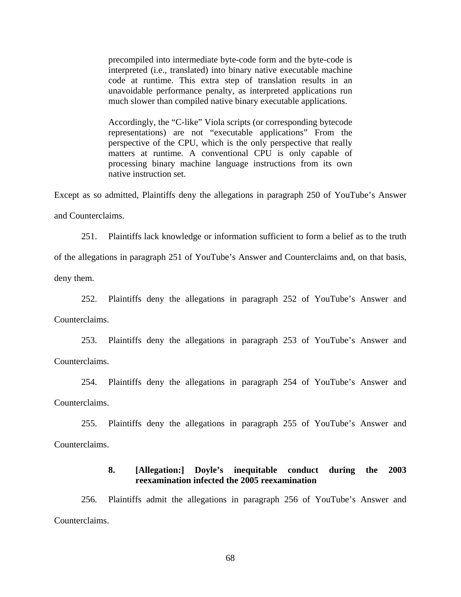precompiled into intermediate byte-code form and the byte-code is interpreted (i.e., translated) into binary native executable machine code at runtime. This extra step of translation results in an unavoidable performance penalty, as interpreted applications run much slower than compiled native binary executable applications.

Accordingly, the "C-like" Viola scripts (or corresponding bytecode representations) are not "executable applications" From the perspective of the CPU, which is the only perspective that really matters at runtime. A conventional CPU is only capable of processing binary machine language instructions from its own native instruction set.

Except as so admitted, Plaintiffs deny the allegations in paragraph 250 of YouTube's Answer and Counterclaims.

251. Plaintiffs lack knowledge or information sufficient to form a belief as to the truth

of the allegations in paragraph 251 of YouTube's Answer and Counterclaims and, on that basis,

deny them.

252. Plaintiffs deny the allegations in paragraph 252 of YouTube's Answer and Counterclaims.

253. Plaintiffs deny the allegations in paragraph 253 of YouTube's Answer and Counterclaims.

254. Plaintiffs deny the allegations in paragraph 254 of YouTube's Answer and Counterclaims.

255. Plaintiffs deny the allegations in paragraph 255 of YouTube's Answer and Counterclaims.

## **8. [Allegation:] Doyle's inequitable conduct during the 2003 reexamination infected the 2005 reexamination**

256. Plaintiffs admit the allegations in paragraph 256 of YouTube's Answer and Counterclaims.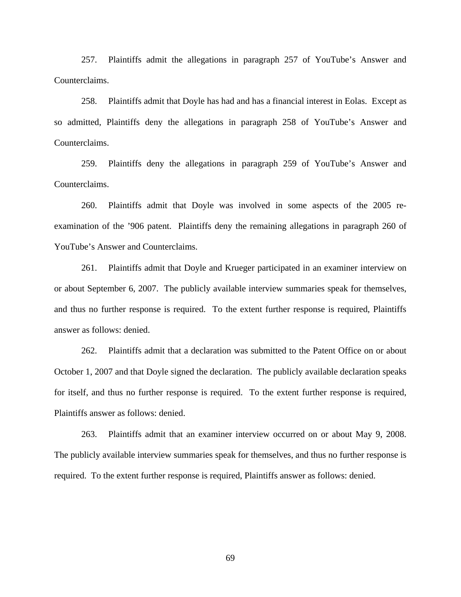257. Plaintiffs admit the allegations in paragraph 257 of YouTube's Answer and Counterclaims.

258. Plaintiffs admit that Doyle has had and has a financial interest in Eolas. Except as so admitted, Plaintiffs deny the allegations in paragraph 258 of YouTube's Answer and Counterclaims.

259. Plaintiffs deny the allegations in paragraph 259 of YouTube's Answer and Counterclaims.

260. Plaintiffs admit that Doyle was involved in some aspects of the 2005 reexamination of the '906 patent. Plaintiffs deny the remaining allegations in paragraph 260 of YouTube's Answer and Counterclaims.

261. Plaintiffs admit that Doyle and Krueger participated in an examiner interview on or about September 6, 2007. The publicly available interview summaries speak for themselves, and thus no further response is required. To the extent further response is required, Plaintiffs answer as follows: denied.

262. Plaintiffs admit that a declaration was submitted to the Patent Office on or about October 1, 2007 and that Doyle signed the declaration. The publicly available declaration speaks for itself, and thus no further response is required. To the extent further response is required, Plaintiffs answer as follows: denied.

263. Plaintiffs admit that an examiner interview occurred on or about May 9, 2008. The publicly available interview summaries speak for themselves, and thus no further response is required. To the extent further response is required, Plaintiffs answer as follows: denied.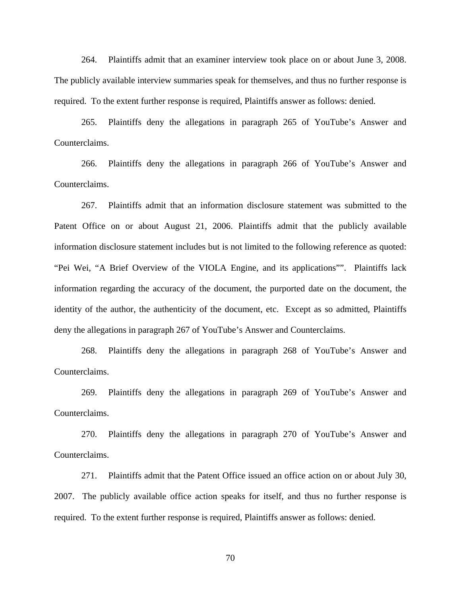264. Plaintiffs admit that an examiner interview took place on or about June 3, 2008. The publicly available interview summaries speak for themselves, and thus no further response is required. To the extent further response is required, Plaintiffs answer as follows: denied.

265. Plaintiffs deny the allegations in paragraph 265 of YouTube's Answer and Counterclaims.

266. Plaintiffs deny the allegations in paragraph 266 of YouTube's Answer and Counterclaims.

267. Plaintiffs admit that an information disclosure statement was submitted to the Patent Office on or about August 21, 2006. Plaintiffs admit that the publicly available information disclosure statement includes but is not limited to the following reference as quoted: "Pei Wei, "A Brief Overview of the VIOLA Engine, and its applications"". Plaintiffs lack information regarding the accuracy of the document, the purported date on the document, the identity of the author, the authenticity of the document, etc. Except as so admitted, Plaintiffs deny the allegations in paragraph 267 of YouTube's Answer and Counterclaims.

268. Plaintiffs deny the allegations in paragraph 268 of YouTube's Answer and Counterclaims.

269. Plaintiffs deny the allegations in paragraph 269 of YouTube's Answer and Counterclaims.

270. Plaintiffs deny the allegations in paragraph 270 of YouTube's Answer and Counterclaims.

271. Plaintiffs admit that the Patent Office issued an office action on or about July 30, 2007. The publicly available office action speaks for itself, and thus no further response is required. To the extent further response is required, Plaintiffs answer as follows: denied.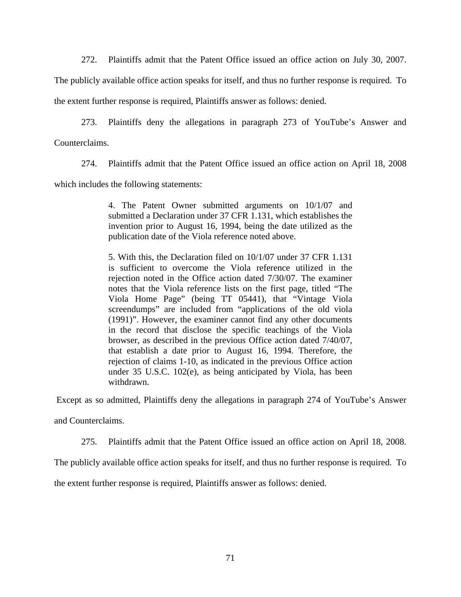272. Plaintiffs admit that the Patent Office issued an office action on July 30, 2007.

The publicly available office action speaks for itself, and thus no further response is required. To the extent further response is required, Plaintiffs answer as follows: denied.

273. Plaintiffs deny the allegations in paragraph 273 of YouTube's Answer and Counterclaims.

274. Plaintiffs admit that the Patent Office issued an office action on April 18, 2008

which includes the following statements:

4. The Patent Owner submitted arguments on 10/1/07 and submitted a Declaration under 37 CFR 1.131, which establishes the invention prior to August 16, 1994, being the date utilized as the publication date of the Viola reference noted above.

5. With this, the Declaration filed on 10/1/07 under 37 CFR 1.131 is sufficient to overcome the Viola reference utilized in the rejection noted in the Office action dated 7/30/07. The examiner notes that the Viola reference lists on the first page, titled "The Viola Home Page" (being TT 05441), that "Vintage Viola screendumps" are included from "applications of the old viola (1991)". However, the examiner cannot find any other documents in the record that disclose the specific teachings of the Viola browser, as described in the previous Office action dated 7/40/07, that establish a date prior to August 16, 1994. Therefore, the rejection of claims 1-10, as indicated in the previous Office action under 35 U.S.C. 102(e), as being anticipated by Viola, has been withdrawn.

Except as so admitted, Plaintiffs deny the allegations in paragraph 274 of YouTube's Answer

and Counterclaims.

275. Plaintiffs admit that the Patent Office issued an office action on April 18, 2008.

The publicly available office action speaks for itself, and thus no further response is required. To

the extent further response is required, Plaintiffs answer as follows: denied.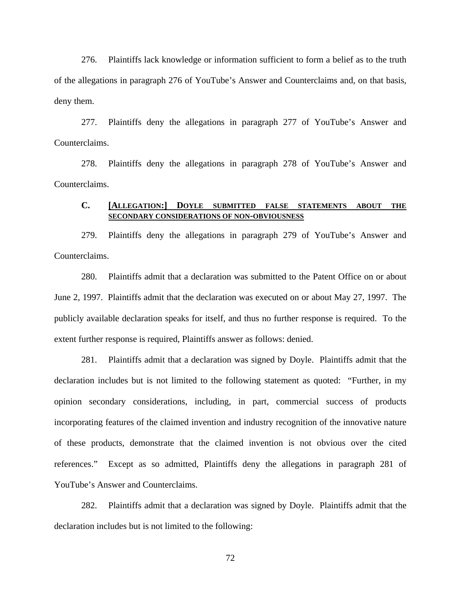276. Plaintiffs lack knowledge or information sufficient to form a belief as to the truth of the allegations in paragraph 276 of YouTube's Answer and Counterclaims and, on that basis, deny them.

277. Plaintiffs deny the allegations in paragraph 277 of YouTube's Answer and Counterclaims.

278. Plaintiffs deny the allegations in paragraph 278 of YouTube's Answer and Counterclaims.

## **C. [ALLEGATION:] DOYLE SUBMITTED FALSE STATEMENTS ABOUT THE SECONDARY CONSIDERATIONS OF NON-OBVIOUSNESS**

279. Plaintiffs deny the allegations in paragraph 279 of YouTube's Answer and Counterclaims.

280. Plaintiffs admit that a declaration was submitted to the Patent Office on or about June 2, 1997. Plaintiffs admit that the declaration was executed on or about May 27, 1997. The publicly available declaration speaks for itself, and thus no further response is required. To the extent further response is required, Plaintiffs answer as follows: denied.

281. Plaintiffs admit that a declaration was signed by Doyle. Plaintiffs admit that the declaration includes but is not limited to the following statement as quoted: "Further, in my opinion secondary considerations, including, in part, commercial success of products incorporating features of the claimed invention and industry recognition of the innovative nature of these products, demonstrate that the claimed invention is not obvious over the cited references." Except as so admitted, Plaintiffs deny the allegations in paragraph 281 of YouTube's Answer and Counterclaims.

282. Plaintiffs admit that a declaration was signed by Doyle. Plaintiffs admit that the declaration includes but is not limited to the following: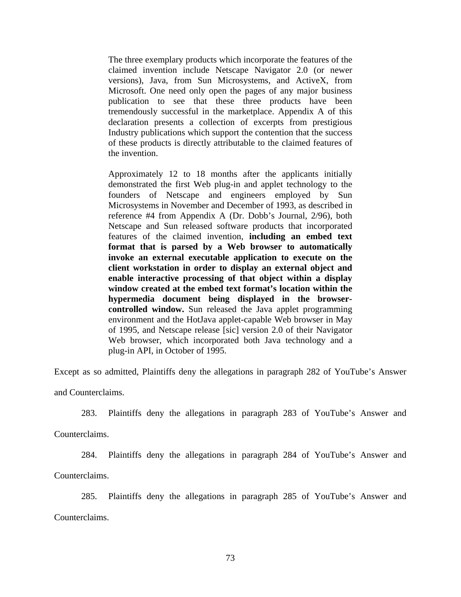The three exemplary products which incorporate the features of the claimed invention include Netscape Navigator 2.0 (or newer versions), Java, from Sun Microsystems, and ActiveX, from Microsoft. One need only open the pages of any major business publication to see that these three products have been tremendously successful in the marketplace. Appendix A of this declaration presents a collection of excerpts from prestigious Industry publications which support the contention that the success of these products is directly attributable to the claimed features of the invention.

Approximately 12 to 18 months after the applicants initially demonstrated the first Web plug-in and applet technology to the founders of Netscape and engineers employed by Sun Microsystems in November and December of 1993, as described in reference #4 from Appendix A (Dr. Dobb's Journal, 2/96), both Netscape and Sun released software products that incorporated features of the claimed invention, **including an embed text format that is parsed by a Web browser to automatically invoke an external executable application to execute on the client workstation in order to display an external object and enable interactive processing of that object within a display window created at the embed text format's location within the hypermedia document being displayed in the browsercontrolled window.** Sun released the Java applet programming environment and the HotJava applet-capable Web browser in May of 1995, and Netscape release [sic] version 2.0 of their Navigator Web browser, which incorporated both Java technology and a plug-in API, in October of 1995.

Except as so admitted, Plaintiffs deny the allegations in paragraph 282 of YouTube's Answer and Counterclaims.

283. Plaintiffs deny the allegations in paragraph 283 of YouTube's Answer and

Counterclaims.

284. Plaintiffs deny the allegations in paragraph 284 of YouTube's Answer and

Counterclaims.

285. Plaintiffs deny the allegations in paragraph 285 of YouTube's Answer and Counterclaims.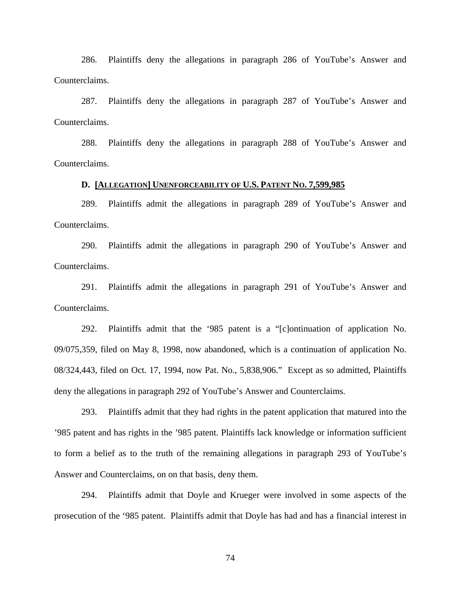286. Plaintiffs deny the allegations in paragraph 286 of YouTube's Answer and Counterclaims.

287. Plaintiffs deny the allegations in paragraph 287 of YouTube's Answer and Counterclaims.

288. Plaintiffs deny the allegations in paragraph 288 of YouTube's Answer and Counterclaims.

# **D. [ALLEGATION] UNENFORCEABILITY OF U.S. PATENT NO. 7,599,985**

289. Plaintiffs admit the allegations in paragraph 289 of YouTube's Answer and Counterclaims.

290. Plaintiffs admit the allegations in paragraph 290 of YouTube's Answer and Counterclaims.

291. Plaintiffs admit the allegations in paragraph 291 of YouTube's Answer and Counterclaims.

292. Plaintiffs admit that the '985 patent is a "[c]ontinuation of application No. 09/075,359, filed on May 8, 1998, now abandoned, which is a continuation of application No. 08/324,443, filed on Oct. 17, 1994, now Pat. No., 5,838,906." Except as so admitted, Plaintiffs deny the allegations in paragraph 292 of YouTube's Answer and Counterclaims.

293. Plaintiffs admit that they had rights in the patent application that matured into the '985 patent and has rights in the '985 patent. Plaintiffs lack knowledge or information sufficient to form a belief as to the truth of the remaining allegations in paragraph 293 of YouTube's Answer and Counterclaims, on on that basis, deny them.

294. Plaintiffs admit that Doyle and Krueger were involved in some aspects of the prosecution of the '985 patent. Plaintiffs admit that Doyle has had and has a financial interest in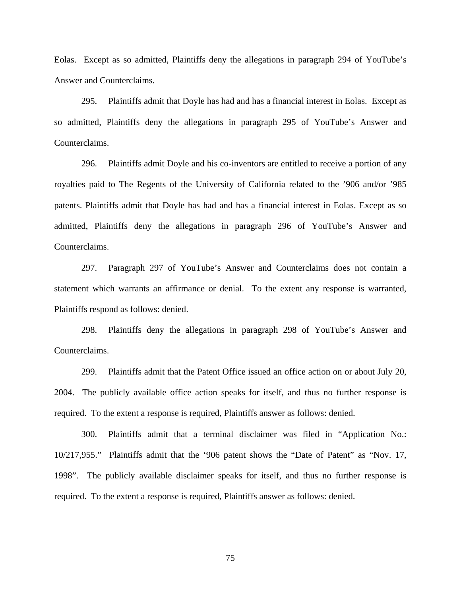Eolas. Except as so admitted, Plaintiffs deny the allegations in paragraph 294 of YouTube's Answer and Counterclaims.

295. Plaintiffs admit that Doyle has had and has a financial interest in Eolas. Except as so admitted, Plaintiffs deny the allegations in paragraph 295 of YouTube's Answer and Counterclaims.

296. Plaintiffs admit Doyle and his co-inventors are entitled to receive a portion of any royalties paid to The Regents of the University of California related to the '906 and/or '985 patents. Plaintiffs admit that Doyle has had and has a financial interest in Eolas. Except as so admitted, Plaintiffs deny the allegations in paragraph 296 of YouTube's Answer and Counterclaims.

297. Paragraph 297 of YouTube's Answer and Counterclaims does not contain a statement which warrants an affirmance or denial. To the extent any response is warranted, Plaintiffs respond as follows: denied.

298. Plaintiffs deny the allegations in paragraph 298 of YouTube's Answer and Counterclaims.

299. Plaintiffs admit that the Patent Office issued an office action on or about July 20, 2004. The publicly available office action speaks for itself, and thus no further response is required. To the extent a response is required, Plaintiffs answer as follows: denied.

300. Plaintiffs admit that a terminal disclaimer was filed in "Application No.: 10/217,955." Plaintiffs admit that the '906 patent shows the "Date of Patent" as "Nov. 17, 1998". The publicly available disclaimer speaks for itself, and thus no further response is required. To the extent a response is required, Plaintiffs answer as follows: denied.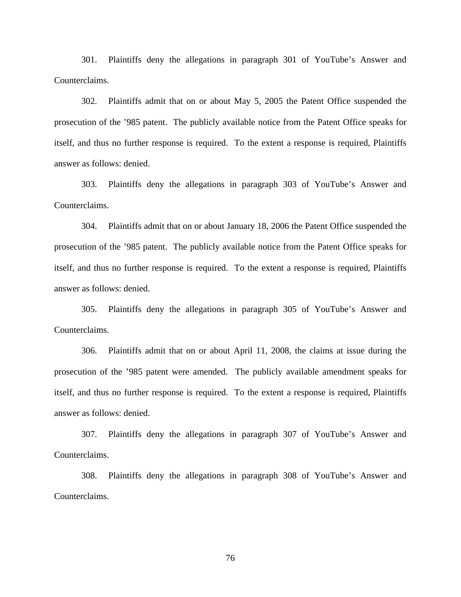301. Plaintiffs deny the allegations in paragraph 301 of YouTube's Answer and Counterclaims.

302. Plaintiffs admit that on or about May 5, 2005 the Patent Office suspended the prosecution of the '985 patent. The publicly available notice from the Patent Office speaks for itself, and thus no further response is required. To the extent a response is required, Plaintiffs answer as follows: denied.

303. Plaintiffs deny the allegations in paragraph 303 of YouTube's Answer and Counterclaims.

304. Plaintiffs admit that on or about January 18, 2006 the Patent Office suspended the prosecution of the '985 patent. The publicly available notice from the Patent Office speaks for itself, and thus no further response is required. To the extent a response is required, Plaintiffs answer as follows: denied.

305. Plaintiffs deny the allegations in paragraph 305 of YouTube's Answer and Counterclaims.

306. Plaintiffs admit that on or about April 11, 2008, the claims at issue during the prosecution of the '985 patent were amended. The publicly available amendment speaks for itself, and thus no further response is required. To the extent a response is required, Plaintiffs answer as follows: denied.

307. Plaintiffs deny the allegations in paragraph 307 of YouTube's Answer and Counterclaims.

308. Plaintiffs deny the allegations in paragraph 308 of YouTube's Answer and Counterclaims.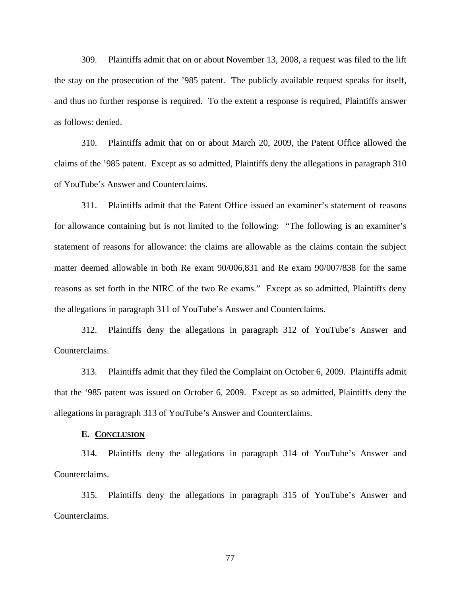309. Plaintiffs admit that on or about November 13, 2008, a request was filed to the lift the stay on the prosecution of the '985 patent. The publicly available request speaks for itself, and thus no further response is required. To the extent a response is required, Plaintiffs answer as follows: denied.

310. Plaintiffs admit that on or about March 20, 2009, the Patent Office allowed the claims of the '985 patent. Except as so admitted, Plaintiffs deny the allegations in paragraph 310 of YouTube's Answer and Counterclaims.

311. Plaintiffs admit that the Patent Office issued an examiner's statement of reasons for allowance containing but is not limited to the following: "The following is an examiner's statement of reasons for allowance: the claims are allowable as the claims contain the subject matter deemed allowable in both Re exam 90/006,831 and Re exam 90/007/838 for the same reasons as set forth in the NIRC of the two Re exams." Except as so admitted, Plaintiffs deny the allegations in paragraph 311 of YouTube's Answer and Counterclaims.

312. Plaintiffs deny the allegations in paragraph 312 of YouTube's Answer and Counterclaims.

313. Plaintiffs admit that they filed the Complaint on October 6, 2009. Plaintiffs admit that the '985 patent was issued on October 6, 2009. Except as so admitted, Plaintiffs deny the allegations in paragraph 313 of YouTube's Answer and Counterclaims.

#### **E. CONCLUSION**

314. Plaintiffs deny the allegations in paragraph 314 of YouTube's Answer and Counterclaims.

315. Plaintiffs deny the allegations in paragraph 315 of YouTube's Answer and Counterclaims.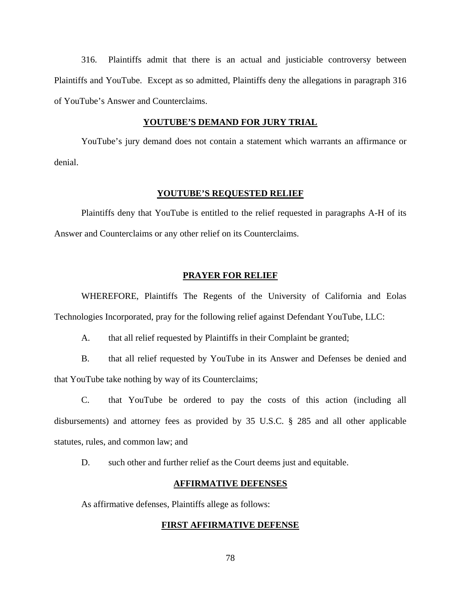316. Plaintiffs admit that there is an actual and justiciable controversy between Plaintiffs and YouTube. Except as so admitted, Plaintiffs deny the allegations in paragraph 316 of YouTube's Answer and Counterclaims.

#### **YOUTUBE'S DEMAND FOR JURY TRIAL**

YouTube's jury demand does not contain a statement which warrants an affirmance or denial.

#### **YOUTUBE'S REQUESTED RELIEF**

Plaintiffs deny that YouTube is entitled to the relief requested in paragraphs A-H of its Answer and Counterclaims or any other relief on its Counterclaims.

## **PRAYER FOR RELIEF**

WHEREFORE, Plaintiffs The Regents of the University of California and Eolas Technologies Incorporated, pray for the following relief against Defendant YouTube, LLC:

A. that all relief requested by Plaintiffs in their Complaint be granted;

B. that all relief requested by YouTube in its Answer and Defenses be denied and that YouTube take nothing by way of its Counterclaims;

C. that YouTube be ordered to pay the costs of this action (including all disbursements) and attorney fees as provided by 35 U.S.C. § 285 and all other applicable statutes, rules, and common law; and

D. such other and further relief as the Court deems just and equitable.

#### **AFFIRMATIVE DEFENSES**

As affirmative defenses, Plaintiffs allege as follows:

## **FIRST AFFIRMATIVE DEFENSE**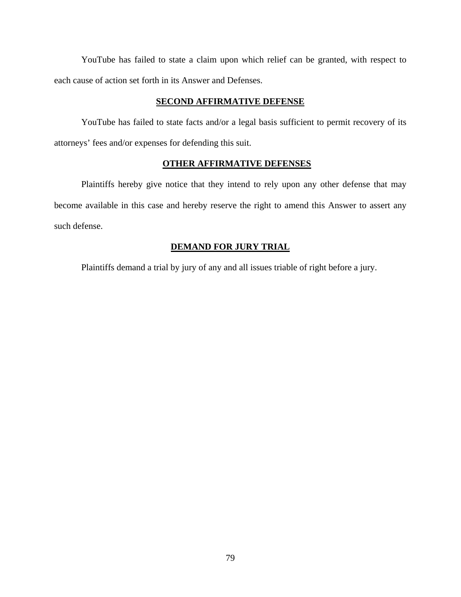YouTube has failed to state a claim upon which relief can be granted, with respect to each cause of action set forth in its Answer and Defenses.

#### **SECOND AFFIRMATIVE DEFENSE**

YouTube has failed to state facts and/or a legal basis sufficient to permit recovery of its attorneys' fees and/or expenses for defending this suit.

## **OTHER AFFIRMATIVE DEFENSES**

Plaintiffs hereby give notice that they intend to rely upon any other defense that may become available in this case and hereby reserve the right to amend this Answer to assert any such defense.

## **DEMAND FOR JURY TRIAL**

Plaintiffs demand a trial by jury of any and all issues triable of right before a jury.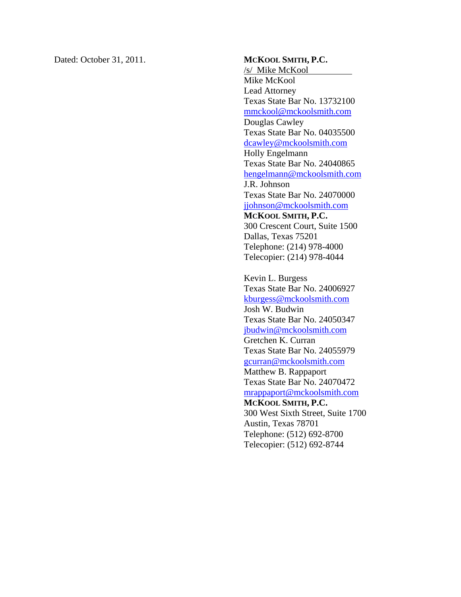Dated: October 31, 2011. **MCKOOL SMITH, P.C.** 

/s/ Mike McKool Mike McKool Lead Attorney Texas State Bar No. 13732100 mmckool@mckoolsmith.com Douglas Cawley Texas State Bar No. 04035500 dcawley@mckoolsmith.com Holly Engelmann Texas State Bar No. 24040865 hengelmann@mckoolsmith.com J.R. Johnson Texas State Bar No. 24070000 jjohnson@mckoolsmith.com **MCKOOL SMITH, P.C.**  300 Crescent Court, Suite 1500 Dallas, Texas 75201 Telephone: (214) 978-4000 Telecopier: (214) 978-4044

Kevin L. Burgess Texas State Bar No. 24006927 kburgess@mckoolsmith.com Josh W. Budwin Texas State Bar No. 24050347 jbudwin@mckoolsmith.com Gretchen K. Curran Texas State Bar No. 24055979 gcurran@mckoolsmith.com Matthew B. Rappaport Texas State Bar No. 24070472 mrappaport@mckoolsmith.com **MCKOOL SMITH, P.C.**  300 West Sixth Street, Suite 1700 Austin, Texas 78701 Telephone: (512) 692-8700 Telecopier: (512) 692-8744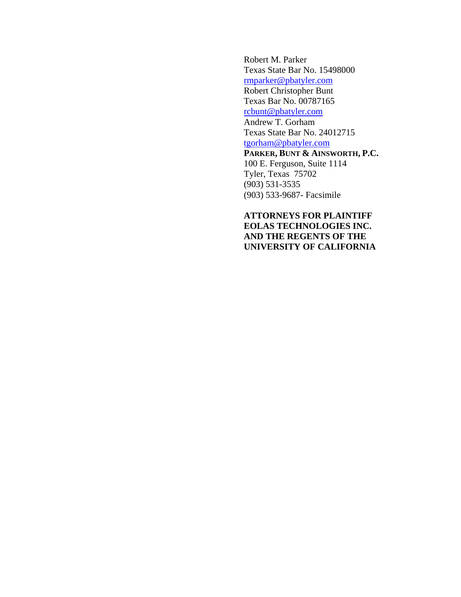Robert M. Parker Texas State Bar No. 15498000 rmparker@pbatyler.com Robert Christopher Bunt Texas Bar No. 00787165 rcbunt@pbatyler.com Andrew T. Gorham Texas State Bar No. 24012715 tgorham@pbatyler.com **PARKER, BUNT & AINSWORTH, P.C.**  100 E. Ferguson, Suite 1114 Tyler, Texas 75702 (903) 531-3535 (903) 533-9687- Facsimile

**ATTORNEYS FOR PLAINTIFF EOLAS TECHNOLOGIES INC. AND THE REGENTS OF THE UNIVERSITY OF CALIFORNIA**